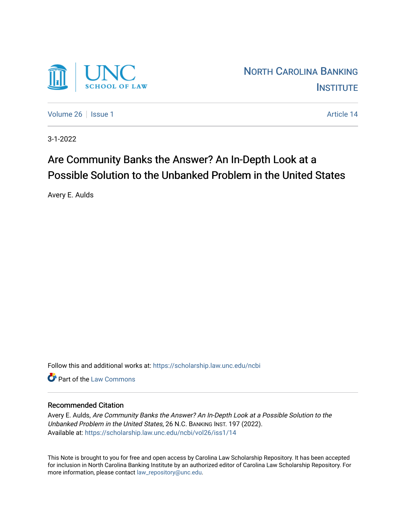

[Volume 26](https://scholarship.law.unc.edu/ncbi/vol26) | [Issue 1](https://scholarship.law.unc.edu/ncbi/vol26/iss1) Article 14

3-1-2022

# Are Community Banks the Answer? An In-Depth Look at a Possible Solution to the Unbanked Problem in the United States

Avery E. Aulds

Follow this and additional works at: [https://scholarship.law.unc.edu/ncbi](https://scholarship.law.unc.edu/ncbi?utm_source=scholarship.law.unc.edu%2Fncbi%2Fvol26%2Fiss1%2F14&utm_medium=PDF&utm_campaign=PDFCoverPages)

**C** Part of the [Law Commons](https://network.bepress.com/hgg/discipline/578?utm_source=scholarship.law.unc.edu%2Fncbi%2Fvol26%2Fiss1%2F14&utm_medium=PDF&utm_campaign=PDFCoverPages)

# Recommended Citation

Avery E. Aulds, Are Community Banks the Answer? An In-Depth Look at a Possible Solution to the Unbanked Problem in the United States, 26 N.C. BANKING INST. 197 (2022). Available at: [https://scholarship.law.unc.edu/ncbi/vol26/iss1/14](https://scholarship.law.unc.edu/ncbi/vol26/iss1/14?utm_source=scholarship.law.unc.edu%2Fncbi%2Fvol26%2Fiss1%2F14&utm_medium=PDF&utm_campaign=PDFCoverPages) 

This Note is brought to you for free and open access by Carolina Law Scholarship Repository. It has been accepted for inclusion in North Carolina Banking Institute by an authorized editor of Carolina Law Scholarship Repository. For more information, please contact [law\\_repository@unc.edu](mailto:law_repository@unc.edu).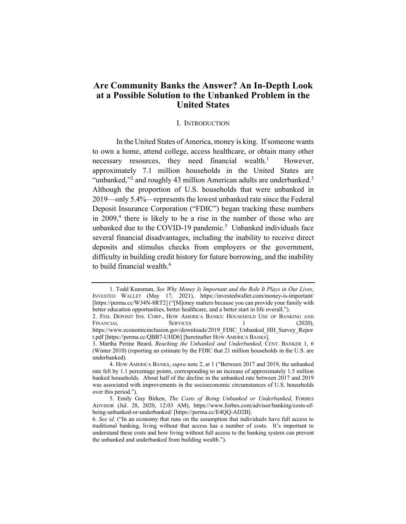# **Are Community Banks the Answer? An In-Depth Look at a Possible Solution to the Unbanked Problem in the United States**

## I. INTRODUCTION

In the United States of America, money is king. If someone wants to own a home, attend college, access healthcare, or obtain many other necessary resources, they need financial wealth.<sup>1</sup> However, approximately 7.1 million households in the United States are "unbanked,"<sup>2</sup> and roughly 43 million American adults are underbanked. $3$ Although the proportion of U.S. households that were unbanked in 2019—only 5.4%—represents the lowest unbanked rate since the Federal Deposit Insurance Corporation ("FDIC") began tracking these numbers in  $2009<sup>4</sup>$ , there is likely to be a rise in the number of those who are unbanked due to the COVID-19 pandemic.<sup>5</sup> Unbanked individuals face several financial disadvantages, including the inability to receive direct deposits and stimulus checks from employers or the government, difficulty in building credit history for future borrowing, and the inability to build financial wealth.<sup>6</sup>

<sup>1.</sup> Todd Kunsman, *See Why Money Is Important and the Role It Plays in Our Lives*, INVESTED WALLET (May 17, 2021), https://investedwallet.com/money-is-important/ [https://perma.cc/W34N-8RT2] ("[M]oney matters because you can provide your family with better education opportunities, better healthcare, and a better start in life overall.").

<sup>2.</sup> FED. DEPOSIT INS. CORP., HOW AMERICA BANKS: HOUSEHOLD USE OF BANKING AND FINANCIAL SERVICES 1 (2020), https://www.economicinclusion.gov/downloads/2019\_FDIC\_Unbanked\_HH\_Survey\_Repor t.pdf [https://perma.cc/QBB7-UHD6] [hereinafter HOW AMERICA BANKS].

<sup>3.</sup> Martha Perine Beard, *Reaching the Unbanked and Underbanked*, CENT. BANKER 1, 6 (Winter 2010) (reporting an estimate by the FDIC that 21 million households in the U.S. are underbanked).

<sup>4.</sup> HOW AMERICA BANKS, *supra* note 2, at 1 ("Between 2017 and 2019, the unbanked rate fell by 1.1 percentage points, corresponding to an increase of approximately 1.5 million banked households. About half of the decline in the unbanked rate between 2017 and 2019 was associated with improvements in the socioeconomic circumstances of U.S. households over this period.").

<sup>5.</sup> Emily Guy Birken, *The Costs of Being Unbanked or Underbanked*, FORBES ADVISOR (Jul. 28, 2020, 12:03 AM), https://www.forbes.com/advisor/banking/costs-ofbeing-unbanked-or-underbanked/ [https://perma.cc/E4QQ-AD2B].

<sup>6.</sup> *See id*. ("In an economy that runs on the assumption that individuals have full access to traditional banking, living without that access has a number of costs. It's important to understand these costs and how living without full access to the banking system can prevent the unbanked and underbanked from building wealth.").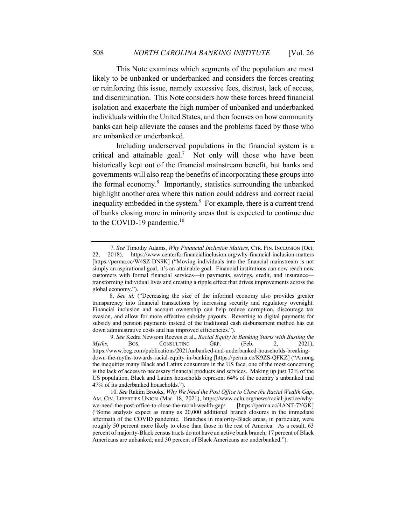This Note examines which segments of the population are most likely to be unbanked or underbanked and considers the forces creating or reinforcing this issue, namely excessive fees, distrust, lack of access, and discrimination. This Note considers how these forces breed financial isolation and exacerbate the high number of unbanked and underbanked individuals within the United States, and then focuses on how community banks can help alleviate the causes and the problems faced by those who are unbanked or underbanked.

Including underserved populations in the financial system is a critical and attainable goal.<sup>7</sup> Not only will those who have been historically kept out of the financial mainstream benefit, but banks and governments will also reap the benefits of incorporating these groups into the formal economy.<sup>8</sup> Importantly, statistics surrounding the unbanked highlight another area where this nation could address and correct racial inequality embedded in the system.<sup>9</sup> For example, there is a current trend of banks closing more in minority areas that is expected to continue due to the COVID-19 pandemic.<sup>10</sup>

 <sup>7.</sup> *See* Timothy Adams, *Why Financial Inclusion Matters*, CTR. FIN. INCLUSION (Oct. 22, 2018), https://www.centerforfinancialinclusion.org/why-financial-inclusion-matters [https://perma.cc/W4SZ-DN9K] ("Moving individuals into the financial mainstream is not simply an aspirational goal, it's an attainable goal. Financial institutions can now reach new customers with formal financial services—in payments, savings, credit, and insurance transforming individual lives and creating a ripple effect that drives improvements across the global economy.").

<sup>8.</sup> *See id.* ("Decreasing the size of the informal economy also provides greater transparency into financial transactions by increasing security and regulatory oversight. Financial inclusion and account ownership can help reduce corruption, discourage tax evasion, and allow for more effective subsidy payouts. Reverting to digital payments for subsidy and pension payments instead of the traditional cash disbursement method has cut down administrative costs and has improved efficiencies.").

 <sup>9.</sup> *See* Kedra Newsom Reeves et al., *Racial Equity in Banking Starts with Busting the Myths*, BOS. CONSULTING GRP. (Feb. 2, 2021), https://www.bcg.com/publications/2021/unbanked-and-underbanked-households-breakingdown-the-myths-towards-racial-equity-in-banking [https://perma.cc/K9ZS-QFKZ] ("Among the inequities many Black and Latinx consumers in the US face, one of the most concerning is the lack of access to necessary financial products and services. Making up just 32% of the US population, Black and Latinx households represent 64% of the country's unbanked and 47% of its underbanked households.").

 <sup>10.</sup> *See* Rakim Brooks, *Why We Need the Post Office to Close the Racial Wealth Gap*, AM. CIV. LIBERTIES UNION (Mar. 18, 2021), https://www.aclu.org/news/racial-justice/whywe-need-the-post-office-to-close-the-racial-wealth-gap/ [https://perma.cc/4ANT-7YGK] ("Some analysts expect as many as 20,000 additional branch closures in the immediate aftermath of the COVID pandemic. Branches in majority-Black areas, in particular, were roughly 50 percent more likely to close than those in the rest of America. As a result, 63 percent of majority-Black census tracts do not have an active bank branch; 17 percent of Black Americans are unbanked; and 30 percent of Black Americans are underbanked.").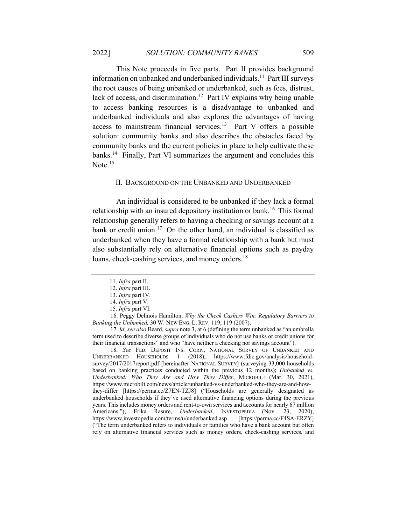This Note proceeds in five parts. Part II provides background information on unbanked and underbanked individuals.<sup>11</sup> Part III surveys the root causes of being unbanked or underbanked, such as fees, distrust, lack of access, and discrimination.<sup>12</sup> Part IV explains why being unable to access banking resources is a disadvantage to unbanked and underbanked individuals and also explores the advantages of having access to mainstream financial services.<sup>13</sup> Part V offers a possible solution: community banks and also describes the obstacles faced by community banks and the current policies in place to help cultivate these banks.<sup>14</sup> Finally, Part VI summarizes the argument and concludes this Note. $15$ 

# II. BACKGROUND ON THE UNBANKED AND UNDERBANKED

An individual is considered to be unbanked if they lack a formal relationship with an insured depository institution or bank.<sup>16</sup> This formal relationship generally refers to having a checking or savings account at a bank or credit union.<sup>17</sup> On the other hand, an individual is classified as underbanked when they have a formal relationship with a bank but must also substantially rely on alternative financial options such as payday loans, check-cashing services, and money orders.<sup>18</sup>

 17. *Id*; *see also* Beard, *supra* note 3, at 6 (defining the term unbanked as "an umbrella term used to describe diverse groups of individuals who do not use banks or credit unions for their financial transactions" and who "have neither a checking nor savings account").

 18. *See* FED. DEPOSIT INS. CORP., NATIONAL SURVEY OF UNBANKED AND UNDERBANKED HOUSEHOLDS 1 (2018), https://www.fdic.gov/analysis/householdsurvey/2017/2017report.pdf [hereinafter NATIONAL SURVEY] (surveying 33,000 households based on banking practices conducted within the previous 12 months); *Unbanked vs. Underbanked: Who They Are and How They Differ*, MICROBILT (Mar. 30, 2021), https://www.microbilt.com/news/article/unbanked-vs-underbanked-who-they-are-and-howthey-differ [https://perma.cc/Z7EN-TZJ8] ("Households are generally designated as underbanked households if they've used alternative financing options during the previous years. This includes money orders and rent-to-own services and accounts for nearly 67 million Americans."); Erika Rasure, *Underbanked*, INVESTOPEDIA (Nov. 23, 2020), https://www.investopedia.com/terms/u/underbanked.asp [https://perma.cc/F4SA-ERZY] ("The term underbanked refers to individuals or families who have a bank account but often rely on alternative financial services such as money orders, check-cashing services, and

<sup>11.</sup> *Infra* part II.

<sup>12.</sup> *Infra* part III.

<sup>13.</sup> *Infra* part IV.

<sup>14.</sup> *Infra* part V.

<sup>15.</sup> *Infra* part VI.

 <sup>16.</sup> Peggy Delinois Hamilton, *Why the Check Cashers Win: Regulatory Barriers to Banking the Unbanked,* 30 W. NEW ENG. L. REV. 119, 119 (2007).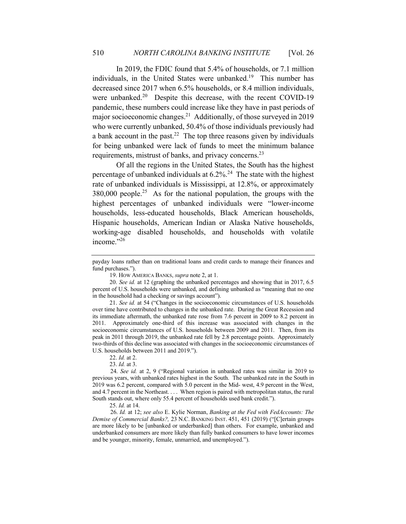In 2019, the FDIC found that 5.4% of households, or 7.1 million individuals, in the United States were unbanked.<sup>19</sup> This number has decreased since 2017 when 6.5% households, or 8.4 million individuals, were unbanked.<sup>20</sup> Despite this decrease, with the recent COVID-19 pandemic, these numbers could increase like they have in past periods of major socioeconomic changes.<sup>21</sup> Additionally, of those surveyed in 2019 who were currently unbanked, 50.4% of those individuals previously had a bank account in the past.<sup>22</sup> The top three reasons given by individuals for being unbanked were lack of funds to meet the minimum balance requirements, mistrust of banks, and privacy concerns.23

Of all the regions in the United States, the South has the highest percentage of unbanked individuals at  $6.2\%$ <sup>24</sup> The state with the highest rate of unbanked individuals is Mississippi, at 12.8%, or approximately  $380,000$  people.<sup>25</sup> As for the national population, the groups with the highest percentages of unbanked individuals were "lower-income households, less-educated households, Black American households, Hispanic households, American Indian or Alaska Native households, working-age disabled households, and households with volatile income."26

19. HOW AMERICA BANKS, *supra* note 2, at 1.

21. *See id.* at 54 ("Changes in the socioeconomic circumstances of U.S. households over time have contributed to changes in the unbanked rate. During the Great Recession and its immediate aftermath, the unbanked rate rose from 7.6 percent in 2009 to 8.2 percent in 2011. Approximately one-third of this increase was associated with changes in the socioeconomic circumstances of U.S. households between 2009 and 2011. Then, from its peak in 2011 through 2019, the unbanked rate fell by 2.8 percentage points. Approximately two-thirds of this decline was associated with changes in the socioeconomic circumstances of U.S. households between 2011 and 2019.").

23. *Id.* at 3.

25. *Id.* at 14.

 26. *Id.* at 12; *see also* E. Kylie Norman, *Banking at the Fed with FedAccounts: The Demise of Commercial Banks?,* 23 N.C. BANKING INST. 451, 451 (2019) ("[C]ertain groups are more likely to be [unbanked or underbanked] than others. For example, unbanked and underbanked consumers are more likely than fully banked consumers to have lower incomes and be younger, minority, female, unmarried, and unemployed.").

payday loans rather than on traditional loans and credit cards to manage their finances and fund purchases.").

<sup>20.</sup> *See id.* at 12 (graphing the unbanked percentages and showing that in 2017, 6.5 percent of U.S. households were unbanked, and defining unbanked as "meaning that no one in the household had a checking or savings account").

<sup>22.</sup> *Id.* at 2.

 <sup>24.</sup> *See id.* at 2, 9 ("Regional variation in unbanked rates was similar in 2019 to previous years, with unbanked rates highest in the South. The unbanked rate in the South in 2019 was 6.2 percent, compared with 5.0 percent in the Mid- west, 4.9 percent in the West, and 4.7 percent in the Northeast. . . . When region is paired with metropolitan status, the rural South stands out, where only 55.4 percent of households used bank credit.").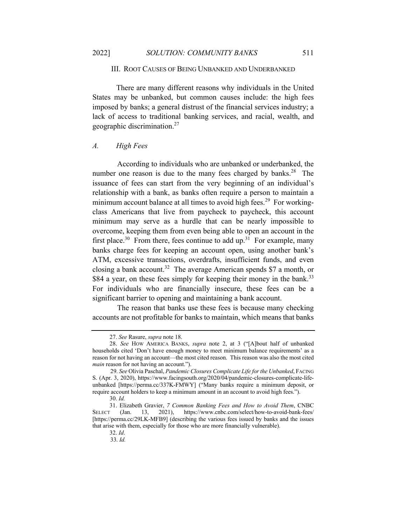## III. ROOT CAUSES OF BEING UNBANKED AND UNDERBANKED

There are many different reasons why individuals in the United States may be unbanked, but common causes include: the high fees imposed by banks; a general distrust of the financial services industry; a lack of access to traditional banking services, and racial, wealth, and geographic discrimination.27

## *A. High Fees*

 According to individuals who are unbanked or underbanked, the number one reason is due to the many fees charged by banks.<sup>28</sup> The issuance of fees can start from the very beginning of an individual's relationship with a bank, as banks often require a person to maintain a minimum account balance at all times to avoid high fees.<sup>29</sup> For workingclass Americans that live from paycheck to paycheck, this account minimum may serve as a hurdle that can be nearly impossible to overcome, keeping them from even being able to open an account in the first place.<sup>30</sup> From there, fees continue to add up.<sup>31</sup> For example, many banks charge fees for keeping an account open, using another bank's ATM, excessive transactions, overdrafts, insufficient funds, and even closing a bank account.<sup>32</sup> The average American spends \$7 a month, or \$84 a year, on these fees simply for keeping their money in the bank.<sup>33</sup> For individuals who are financially insecure, these fees can be a significant barrier to opening and maintaining a bank account.

 The reason that banks use these fees is because many checking accounts are not profitable for banks to maintain, which means that banks

<sup>27.</sup> *See* Rasure, *supra* note 18.

<sup>28.</sup> *See* HOW AMERICA BANKS, *supra* note 2, at 3 ("[A]bout half of unbanked households cited 'Don't have enough money to meet minimum balance requirements' as a reason for not having an account—the most cited reason. This reason was also the most cited *main* reason for not having an account.").

 <sup>29.</sup> *See* Olivia Paschal, *Pandemic Closures Complicate Life for the Unbanked*, FACING S. (Apr. 3, 2020), https://www.facingsouth.org/2020/04/pandemic-closures-complicate-lifeunbanked [https://perma.cc/337K-FMWY] ("Many banks require a minimum deposit, or require account holders to keep a minimum amount in an account to avoid high fees.").

<sup>30.</sup> *Id.*

<sup>31.</sup> Elizabeth Gravier, *7 Common Banking Fees and How to Avoid Them*, CNBC SELECT (Jan. 13, 2021), https://www.cnbc.com/select/how-to-avoid-bank-fees/ [https://perma.cc/29LK-MFB9] (describing the various fees issued by banks and the issues that arise with them, especially for those who are more financially vulnerable).

<sup>32.</sup> *Id*.

 <sup>33.</sup> *Id.*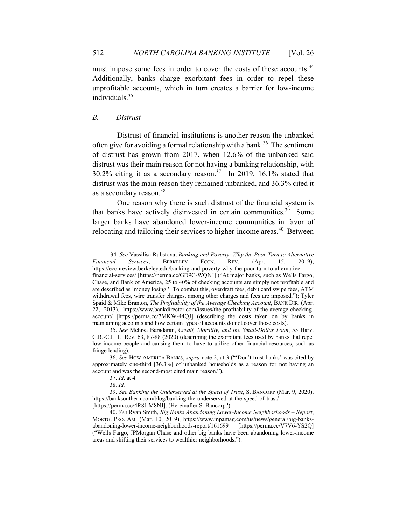must impose some fees in order to cover the costs of these accounts.<sup>34</sup> Additionally, banks charge exorbitant fees in order to repel these unprofitable accounts, which in turn creates a barrier for low-income individuals.35

# *B. Distrust*

 Distrust of financial institutions is another reason the unbanked often give for avoiding a formal relationship with a bank.<sup>36</sup> The sentiment of distrust has grown from 2017, when 12.6% of the unbanked said distrust was their main reason for not having a banking relationship, with  $30.2\%$  citing it as a secondary reason.<sup>37</sup> In 2019, 16.1% stated that distrust was the main reason they remained unbanked, and 36.3% cited it as a secondary reason.38

 One reason why there is such distrust of the financial system is that banks have actively disinvested in certain communities.<sup>39</sup> Some larger banks have abandoned lower-income communities in favor of relocating and tailoring their services to higher-income areas.<sup>40</sup> Between

[https://perma.cc/4R8J-M8NJ]. (Hereinafter S. Bancorp?)

 <sup>34.</sup> *See* Vassilisa Rubstova, *Banking and Poverty: Why the Poor Turn to Alternative Financial Services*, BERKELEY ECON. REV. (Apr. 15, 2019), https://econreview.berkeley.edu/banking-and-poverty-why-the-poor-turn-to-alternativefinancial-services/ [https://perma.cc/GD9C-WQNJ] ("At major banks, such as Wells Fargo, Chase, and Bank of America, 25 to 40% of checking accounts are simply not profitable and are described as 'money losing.' To combat this, overdraft fees, debit card swipe fees, ATM withdrawal fees, wire transfer charges, among other charges and fees are imposed."); Tyler Spaid & Mike Branton, *The Profitability of the Average Checking Account*, BANK DIR. (Apr. 22, 2013), https://www.bankdirector.com/issues/the-profitability-of-the-average-checkingaccount/ [https://perma.cc/7MKW-44QJ] (describing the costs taken on by banks in maintaining accounts and how certain types of accounts do not cover those costs).

<sup>35.</sup> *See* Mehrsa Baradaran, *Credit, Morality, and the Small-Dollar Loan*, 55 Harv. C.R.-C.L. L. Rev. 63, 87-88 (2020) (describing the exorbitant fees used by banks that repel low-income people and causing them to have to utilize other financial resources, such as fringe lending).

<sup>36.</sup> *See* HOW AMERICA BANKS, *supra* note 2, at 3 ("'Don't trust banks' was cited by approximately one-third [36.3%] of unbanked households as a reason for not having an account and was the second-most cited main reason.").

<sup>37.</sup> *Id*. at 4.

<sup>38</sup>*. Id.*

<sup>39.</sup> *See Banking the Underserved at the Speed of Trust*, S. BANCORP (Mar. 9, 2020), https://banksouthern.com/blog/banking-the-underserved-at-the-speed-of-trust/

<sup>40.</sup> *See* Ryan Smith, *Big Banks Abandoning Lower-Income Neighborhoods – Report*, MORTG. PRO. AM. (Mar. 10, 2019), https://www.mpamag.com/us/news/general/big-banksabandoning-lower-income-neighborhoods-report/161699 [https://perma.cc/V7V6-YS2Q] ("Wells Fargo, JPMorgan Chase and other big banks have been abandoning lower-income areas and shifting their services to wealthier neighborhoods.").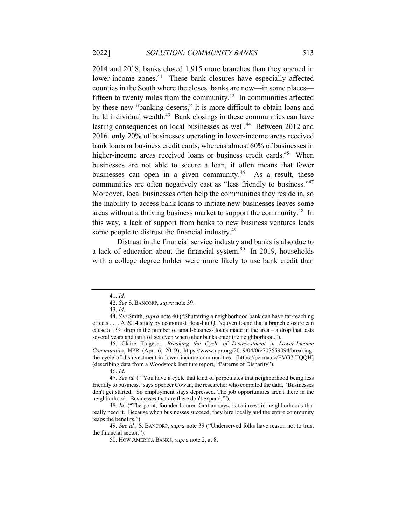2014 and 2018, banks closed 1,915 more branches than they opened in lower-income zones.<sup>41</sup> These bank closures have especially affected counties in the South where the closest banks are now—in some places fifteen to twenty miles from the community.<sup>42</sup> In communities affected by these new "banking deserts," it is more difficult to obtain loans and build individual wealth. $43$  Bank closings in these communities can have lasting consequences on local businesses as well.<sup>44</sup> Between 2012 and 2016, only 20% of businesses operating in lower-income areas received bank loans or business credit cards, whereas almost 60% of businesses in higher-income areas received loans or business credit cards.<sup>45</sup> When businesses are not able to secure a loan, it often means that fewer businesses can open in a given community.<sup>46</sup> As a result, these communities are often negatively cast as "less friendly to business."47 Moreover, local businesses often help the communities they reside in, so the inability to access bank loans to initiate new businesses leaves some areas without a thriving business market to support the community.48 In this way, a lack of support from banks to new business ventures leads some people to distrust the financial industry.<sup>49</sup>

 Distrust in the financial service industry and banks is also due to a lack of education about the financial system.<sup>50</sup> In 2019, households with a college degree holder were more likely to use bank credit than

<sup>41.</sup> *Id.*

<sup>42.</sup> *See* S. BANCORP, *supra* note 39.

<sup>43.</sup> *Id*.

<sup>44.</sup> *See* Smith, *supra* note 40 ("Shuttering a neighborhood bank can have far-reaching effects . . .. A 2014 study by economist Hoia-luu Q. Nquyen found that a branch closure can cause a 13% drop in the number of small-business loans made in the area – a drop that lasts several years and isn't offset even when other banks enter the neighborhood.").

<sup>45.</sup> Claire Trageser, *Breaking the Cycle of Disinvestment in Lower-Income Communities*, NPR (Apr. 6, 2019), https://www.npr.org/2019/04/06/707659094/breakingthe-cycle-of-disinvestment-in-lower-income-communities [https://perma.cc/EVG7-TQQH] (describing data from a Woodstock Institute report, "Patterns of Disparity").

<sup>46.</sup> *Id*.

<sup>47.</sup> *See id.* ("'You have a cycle that kind of perpetuates that neighborhood being less friendly to business,' says Spencer Cowan, the researcher who compiled the data. 'Businesses don't get started. So employment stays depressed. The job opportunities aren't there in the neighborhood. Businesses that are there don't expand.'").

<sup>48.</sup> *Id*. ("The point, founder Lauren Grattan says, is to invest in neighborhoods that really need it. Because when businesses succeed, they hire locally and the entire community reaps the benefits.")

<sup>49.</sup> *See id.*; S. BANCORP, *supra* note 39 ("Underserved folks have reason not to trust the financial sector.").

<sup>50.</sup> HOW AMERICA BANKS, *supra* note 2, at 8.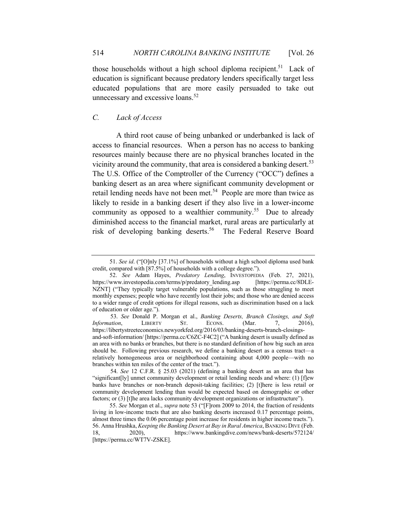those households without a high school diploma recipient.<sup>51</sup> Lack of education is significant because predatory lenders specifically target less educated populations that are more easily persuaded to take out unnecessary and excessive loans.<sup>52</sup>

# *C. Lack of Access*

A third root cause of being unbanked or underbanked is lack of access to financial resources. When a person has no access to banking resources mainly because there are no physical branches located in the vicinity around the community, that area is considered a banking desert.<sup>53</sup> The U.S. Office of the Comptroller of the Currency ("OCC") defines a banking desert as an area where significant community development or retail lending needs have not been met.<sup>54</sup> People are more than twice as likely to reside in a banking desert if they also live in a lower-income community as opposed to a wealthier community.<sup>55</sup> Due to already diminished access to the financial market, rural areas are particularly at risk of developing banking deserts.<sup>56</sup> The Federal Reserve Board

 53. *See* Donald P. Morgan et al., *Banking Deserts, Branch Closings, and Soft Information*, LIBERTY ST. ECONS. (Mar. 7, 2016), https://libertystreeteconomics.newyorkfed.org/2016/03/banking-deserts-branch-closingsand-soft-information/ [https://perma.cc/C6ZC-F4C2] ("A banking desert is usually defined as an area with no banks or branches, but there is no standard definition of how big such an area should be. Following previous research, we define a banking desert as a census tract—a relatively homogeneous area or neighborhood containing about 4,000 people—with no branches within ten miles of the center of the tract.").

<sup>51.</sup> *See id*. ("[O]nly [37.1%] of households without a high school diploma used bank credit, compared with [87.5%] of households with a college degree.").

<sup>52.</sup> *See* Adam Hayes, *Predatory Lending*, INVESTOPEDIA (Feb. 27, 2021), https://www.investopedia.com/terms/p/predatory\_lending.asp [https://perma.cc/8DLE-NZNT] ("They typically target vulnerable populations, such as those struggling to meet monthly expenses; people who have recently lost their jobs; and those who are denied access to a wider range of credit options for illegal reasons, such as discrimination based on a lack of education or older age.").

 <sup>54.</sup> *See* 12 C.F.R. § 25.03 (2021) (defining a banking desert as an area that has "significant[ly] unmet community development or retail lending needs and where: (1) [f]ew banks have branches or non-branch deposit-taking facilities; (2) [t]here is less retail or community development lending than would be expected based on demographic or other factors; or (3) [t]he area lacks community development organizations or infrastructure").

<sup>55.</sup> *See* Morgan et al., *supra* note 53 ("[F]rom 2009 to 2014, the fraction of residents living in low-income tracts that are also banking deserts increased 0.17 percentage points, almost three times the 0.06 percentage point increase for residents in higher income tracts."). 56. Anna Hrushka, *Keeping the Banking Desert at Bay in Rural America*, BANKING DIVE (Feb. 18, 2020), https://www.bankingdive.com/news/bank-deserts/572124/ [https://perma.cc/WT7V-ZSKE].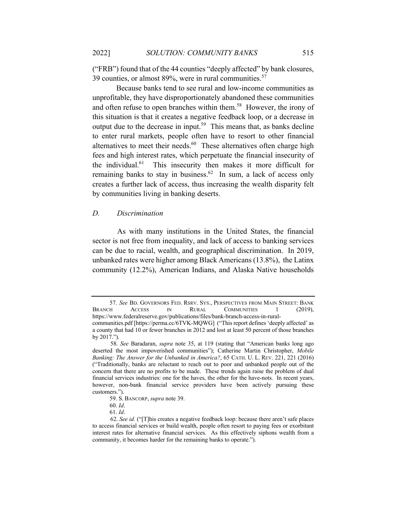("FRB") found that of the 44 counties "deeply affected" by bank closures, 39 counties, or almost  $89\%$ , were in rural communities.<sup>57</sup>

Because banks tend to see rural and low-income communities as unprofitable, they have disproportionately abandoned these communities and often refuse to open branches within them.<sup>58</sup> However, the irony of this situation is that it creates a negative feedback loop, or a decrease in output due to the decrease in input.<sup>59</sup> This means that, as banks decline to enter rural markets, people often have to resort to other financial alternatives to meet their needs. $60$  These alternatives often charge high fees and high interest rates, which perpetuate the financial insecurity of the individual. $61$  This insecurity then makes it more difficult for remaining banks to stay in business.<sup>62</sup> In sum, a lack of access only creates a further lack of access, thus increasing the wealth disparity felt by communities living in banking deserts.

#### *D. Discrimination*

 As with many institutions in the United States, the financial sector is not free from inequality, and lack of access to banking services can be due to racial, wealth, and geographical discrimination. In 2019, unbanked rates were higher among Black Americans (13.8%), the Latinx community (12.2%), American Indians, and Alaska Native households

<sup>57.</sup> *See* BD. GOVERNORS FED. RSRV. SYS., PERSPECTIVES FROM MAIN STREET: BANK BRANCH ACCESS IN RURAL COMMUNITIES 1 (2019), https://www.federalreserve.gov/publications/files/bank-branch-access-in-ruralcommunities.pdf [https://perma.cc/6TVK-MQWG] ("This report defines 'deeply affected' as a county that had 10 or fewer branches in 2012 and lost at least 50 percent of those branches

by 2017.").

 <sup>58.</sup> *See* Baradaran, *supra* note 35, at 119 (stating that "American banks long ago deserted the most impoverished communities"); Catherine Martin Christopher, *Mobile Banking: The Answer for the Unbanked in America?*, 65 CATH. U. L. REV. 221, 221 (2016) ("Traditionally, banks are reluctant to reach out to poor and unbanked people out of the concern that there are no profits to be made. These trends again raise the problem of dual financial services industries: one for the haves, the other for the have-nots. In recent years, however, non-bank financial service providers have been actively pursuing these customers.").

<sup>59.</sup> S. BANCORP, *supra* note 39.

<sup>60.</sup> *Id*.

<sup>61.</sup> *Id*.

 <sup>62.</sup> *See id.* ("[T]his creates a negative feedback loop: because there aren't safe places to access financial services or build wealth, people often resort to paying fees or exorbitant interest rates for alternative financial services. As this effectively siphons wealth from a community, it becomes harder for the remaining banks to operate.").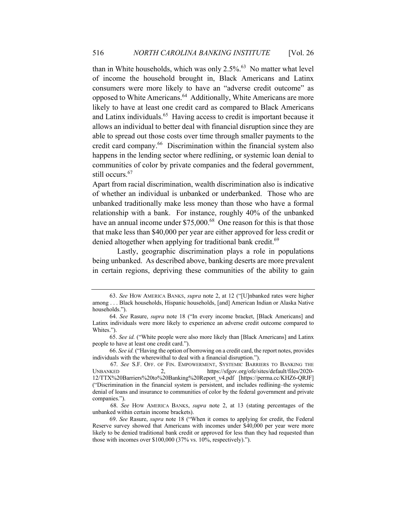than in White households, which was only  $2.5\%$ .<sup>63</sup> No matter what level of income the household brought in, Black Americans and Latinx consumers were more likely to have an "adverse credit outcome" as opposed to White Americans.<sup>64</sup> Additionally, White Americans are more likely to have at least one credit card as compared to Black Americans and Latinx individuals.<sup>65</sup> Having access to credit is important because it allows an individual to better deal with financial disruption since they are able to spread out those costs over time through smaller payments to the credit card company.<sup>66</sup> Discrimination within the financial system also happens in the lending sector where redlining, or systemic loan denial to communities of color by private companies and the federal government, still occurs.<sup>67</sup>

Apart from racial discrimination, wealth discrimination also is indicative of whether an individual is unbanked or underbanked. Those who are unbanked traditionally make less money than those who have a formal relationship with a bank. For instance, roughly 40% of the unbanked have an annual income under \$75,000.<sup>68</sup> One reason for this is that those that make less than \$40,000 per year are either approved for less credit or denied altogether when applying for traditional bank credit.<sup>69</sup>

 Lastly, geographic discrimination plays a role in populations being unbanked. As described above, banking deserts are more prevalent in certain regions, depriving these communities of the ability to gain

<sup>63.</sup> *See* HOW AMERICA BANKS, *supra* note 2, at 12 ("[U]nbanked rates were higher among . . . Black households, Hispanic households, [and] American Indian or Alaska Native households.").

<sup>64.</sup> *See* Rasure, *supra* note 18 ("In every income bracket, [Black Americans] and Latinx individuals were more likely to experience an adverse credit outcome compared to Whites.").

<sup>65.</sup> *See id.* ("White people were also more likely than [Black Americans] and Latinx people to have at least one credit card.").

<sup>66.</sup> *See id.* ("Having the option of borrowing on a credit card, the report notes, provides individuals with the wherewithal to deal with a financial disruption.").

 <sup>67.</sup> *See* S.F. OFF. OF FIN. EMPOWERMENT, SYSTEMIC BARRIERS TO BANKING THE UNBANKED 2, https://sfgov.org/ofe/sites/default/files/2020-12/TTX%20Barriers%20to%20Banking%20Report\_v4.pdf [https://perma.cc/KHZ6-QRJF] ("Discrimination in the financial system is persistent, and includes redlining–the systemic denial of loans and insurance to communities of color by the federal government and private companies.").

 <sup>68.</sup> *See* HOW AMERICA BANKS, *supra* note 2, at 13 (stating percentages of the unbanked within certain income brackets).

<sup>69.</sup> *See* Rasure, *supra* note 18 ("When it comes to applying for credit, the Federal Reserve survey showed that Americans with incomes under \$40,000 per year were more likely to be denied traditional bank credit or approved for less than they had requested than those with incomes over \$100,000 (37% vs. 10%, respectively).").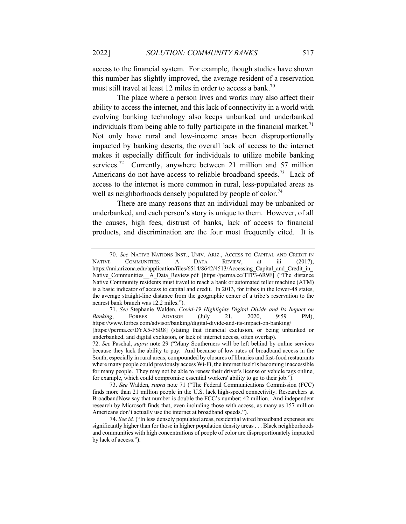access to the financial system. For example, though studies have shown this number has slightly improved, the average resident of a reservation must still travel at least 12 miles in order to access a bank.<sup>70</sup>

 The place where a person lives and works may also affect their ability to access the internet, and this lack of connectivity in a world with evolving banking technology also keeps unbanked and underbanked individuals from being able to fully participate in the financial market.<sup>71</sup> Not only have rural and low-income areas been disproportionally impacted by banking deserts, the overall lack of access to the internet makes it especially difficult for individuals to utilize mobile banking services.<sup>72</sup> Currently, anywhere between 21 million and 57 million Americans do not have access to reliable broadband speeds.<sup>73</sup> Lack of access to the internet is more common in rural, less-populated areas as well as neighborhoods densely populated by people of color.<sup>74</sup>

 There are many reasons that an individual may be unbanked or underbanked, and each person's story is unique to them. However, of all the causes, high fees, distrust of banks, lack of access to financial products, and discrimination are the four most frequently cited. It is

<sup>70.</sup> *See* NATIVE NATIONS INST., UNIV. ARIZ., ACCESS TO CAPITAL AND CREDIT IN NATIVE COMMUNITIES: A DATA REVIEW, at iii (2017), https://nni.arizona.edu/application/files/6514/8642/4513/Accessing\_Capital\_and\_Credit\_in Native\_Communities\_\_A\_Data\_Review.pdf [https://perma.cc/TTP3-6R9F] ("The distance Native Community residents must travel to reach a bank or automated teller machine (ATM) is a basic indicator of access to capital and credit. In 2013, for tribes in the lower-48 states, the average straight-line distance from the geographic center of a tribe's reservation to the nearest bank branch was 12.2 miles.").

<sup>71.</sup> *See* Stephanie Walden, *Covid-19 Highlights Digital Divide and Its Impact on Banking*, FORBES ADVISOR (July 21, 2020, 9:59 PM), https://www.forbes.com/advisor/banking/digital-divide-and-its-impact-on-banking/ [https://perma.cc/DYX5-FSR8] (stating that financial exclusion, or being unbanked or underbanked, and digital exclusion, or lack of internet access, often overlap).

<sup>72.</sup> *See* Paschal, *supra* note 29 ("Many Southerners will be left behind by online services because they lack the ability to pay. And because of low rates of broadband access in the South, especially in rural areas, compounded by closures of libraries and fast-food restaurants where many people could previously access Wi-Fi, the internet itself is becoming inaccessible for many people. They may not be able to renew their driver's license or vehicle tags online, for example, which could compromise essential workers' ability to go to their job.").

<sup>73.</sup> *See* Walden, *supra* note 71 ("The Federal Communications Commission (FCC) finds more than 21 million people in the U.S. lack high-speed connectivity. Researchers at BroadbandNow say that number is double the FCC's number: 42 million. And independent research by Microsoft finds that, even including those with access, as many as 157 million Americans don't actually use the internet at broadband speeds.").

<sup>74.</sup> *See id.* ("In less densely populated areas, residential wired broadband expenses are significantly higher than for those in higher population density areas . . . Black neighborhoods and communities with high concentrations of people of color are disproportionately impacted by lack of access.").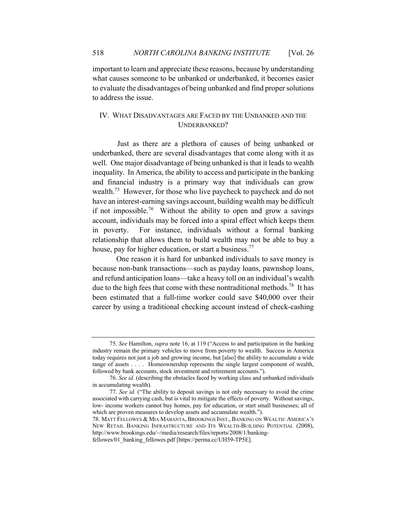important to learn and appreciate these reasons, because by understanding what causes someone to be unbanked or underbanked, it becomes easier to evaluate the disadvantages of being unbanked and find proper solutions to address the issue.

# IV. WHAT DISADVANTAGES ARE FACED BY THE UNBANKED AND THE UNDERBANKED?

 Just as there are a plethora of causes of being unbanked or underbanked, there are several disadvantages that come along with it as well. One major disadvantage of being unbanked is that it leads to wealth inequality. In America, the ability to access and participate in the banking and financial industry is a primary way that individuals can grow wealth.<sup>75</sup> However, for those who live paycheck to paycheck and do not have an interest-earning savings account, building wealth may be difficult if not impossible.<sup>76</sup> Without the ability to open and grow a savings account, individuals may be forced into a spiral effect which keeps them in poverty. For instance, individuals without a formal banking relationship that allows them to build wealth may not be able to buy a house, pay for higher education, or start a business.<sup>77</sup>

One reason it is hard for unbanked individuals to save money is because non-bank transactions—such as payday loans, pawnshop loans, and refund anticipation loans—take a heavy toll on an individual's wealth due to the high fees that come with these nontraditional methods.<sup>78</sup> It has been estimated that a full-time worker could save \$40,000 over their career by using a traditional checking account instead of check-cashing

<sup>75.</sup> *See* Hamilton, *supra* note 16, at 119 ("Access to and participation in the banking industry remain the primary vehicles to move from poverty to wealth. Success in America today requires not just a job and growing income, but [also] the ability to accumulate a wide range of assets . . . . Homeownership represents the single largest component of wealth, followed by bank accounts, stock investment and retirement accounts.").

<sup>76.</sup> *See id.* (describing the obstacles faced by working class and unbanked individuals in accumulating wealth).

<sup>77.</sup> *See id.* ("The ability to deposit savings is not only necessary to avoid the crime associated with carrying cash, but is vital to mitigate the effects of poverty. Without savings, low- income workers cannot buy homes, pay for education, or start small businesses; all of which are proven measures to develop assets and accumulate wealth.").

<sup>78.</sup> MATT FELLOWES & MIA MABANTA, BROOKINGS INST., BANKING ON WEALTH: AMERICA'S NEW RETAIL BANKING INFRASTRUCTURE AND ITS WEALTH-BUILDING POTENTIAL (2008), http://www.brookings.edu/~/media/research/files/reports/2008/1/bankingfellowes/01\_banking\_fellowes.pdf [https://perma.cc/UH59-TP5E].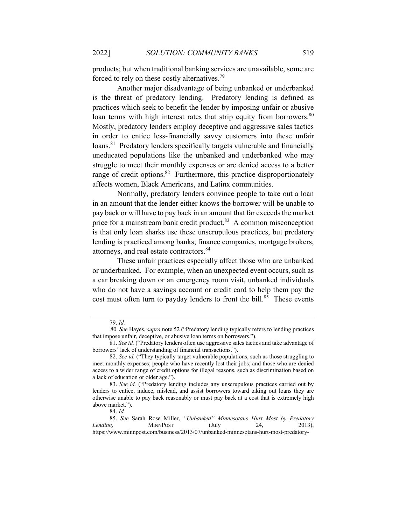products; but when traditional banking services are unavailable, some are forced to rely on these costly alternatives.<sup>79</sup>

 Another major disadvantage of being unbanked or underbanked is the threat of predatory lending. Predatory lending is defined as practices which seek to benefit the lender by imposing unfair or abusive loan terms with high interest rates that strip equity from borrowers.<sup>80</sup> Mostly, predatory lenders employ deceptive and aggressive sales tactics in order to entice less-financially savvy customers into these unfair loans.<sup>81</sup> Predatory lenders specifically targets vulnerable and financially uneducated populations like the unbanked and underbanked who may struggle to meet their monthly expenses or are denied access to a better range of credit options.<sup>82</sup> Furthermore, this practice disproportionately affects women, Black Americans, and Latinx communities.

 Normally, predatory lenders convince people to take out a loan in an amount that the lender either knows the borrower will be unable to pay back or will have to pay back in an amount that far exceeds the market price for a mainstream bank credit product.<sup>83</sup> A common misconception is that only loan sharks use these unscrupulous practices, but predatory lending is practiced among banks, finance companies, mortgage brokers, attorneys, and real estate contractors.<sup>84</sup>

 These unfair practices especially affect those who are unbanked or underbanked. For example, when an unexpected event occurs, such as a car breaking down or an emergency room visit, unbanked individuals who do not have a savings account or credit card to help them pay the cost must often turn to payday lenders to front the bill.<sup>85</sup> These events

<sup>79.</sup> *Id.*

 <sup>80.</sup> *See* Hayes, *supra* note 52 ("Predatory lending typically refers to lending practices that impose unfair, deceptive, or abusive loan terms on borrowers.").

<sup>81.</sup> *See id.* ("Predatory lenders often use aggressive sales tactics and take advantage of borrowers' lack of understanding of financial transactions.").

<sup>82.</sup> *See id.* ("They typically target vulnerable populations, such as those struggling to meet monthly expenses; people who have recently lost their jobs; and those who are denied access to a wider range of credit options for illegal reasons, such as discrimination based on a lack of education or older age.").

<sup>83.</sup> *See id.* ("Predatory lending includes any unscrupulous practices carried out by lenders to entice, induce, mislead, and assist borrowers toward taking out loans they are otherwise unable to pay back reasonably or must pay back at a cost that is extremely high above market.").

<sup>84.</sup> *Id.*

<sup>85.</sup> *See* Sarah Rose Miller, *"Unbanked" Minnesotans Hurt Most by Predatory Lending*, **MINNPOST** (July 24, 2013), https://www.minnpost.com/business/2013/07/unbanked-minnesotans-hurt-most-predatory-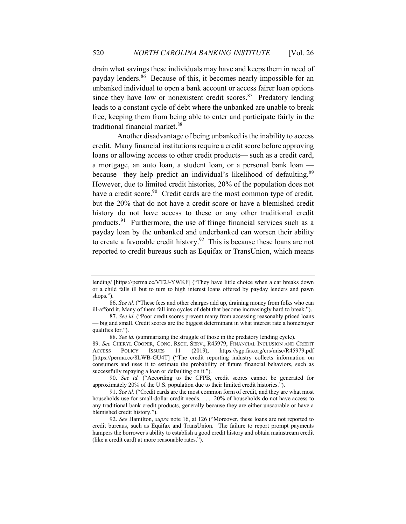drain what savings these individuals may have and keeps them in need of payday lenders.86 Because of this, it becomes nearly impossible for an unbanked individual to open a bank account or access fairer loan options since they have low or nonexistent credit scores. $87$  Predatory lending leads to a constant cycle of debt where the unbanked are unable to break free, keeping them from being able to enter and participate fairly in the traditional financial market.<sup>88</sup>

 Another disadvantage of being unbanked is the inability to access credit. Many financial institutions require a credit score before approving loans or allowing access to other credit products— such as a credit card, a mortgage, an auto loan, a student loan, or a personal bank loan because they help predict an individual's likelihood of defaulting.<sup>89</sup> However, due to limited credit histories, 20% of the population does not have a credit score.<sup>90</sup> Credit cards are the most common type of credit, but the 20% that do not have a credit score or have a blemished credit history do not have access to these or any other traditional credit products.91 Furthermore, the use of fringe financial services such as a payday loan by the unbanked and underbanked can worsen their ability to create a favorable credit history.<sup>92</sup> This is because these loans are not reported to credit bureaus such as Equifax or TransUnion, which means

lending/ [https://perma.cc/VT2J-YWKF] ("They have little choice when a car breaks down or a child falls ill but to turn to high interest loans offered by payday lenders and pawn shops.").

<sup>86.</sup> *See id.* ("These fees and other charges add up, draining money from folks who can ill-afford it. Many of them fall into cycles of debt that become increasingly hard to break.").

<sup>87.</sup> *See id.* ("Poor credit scores prevent many from accessing reasonably priced loans — big and small. Credit scores are the biggest determinant in what interest rate a homebuyer qualifies for.").

<sup>88.</sup> *See id.* (summarizing the struggle of those in the predatory lending cycle).

<sup>89.</sup> *See* CHERYL COOPER, CONG. RSCH. SERV., R45979, FINANCIAL INCLUSION AND CREDIT ACCESS POLICY ISSUES 11 (2019), https://sgp.fas.org/crs/misc/R45979.pdf [https://perma.cc/8LWB-GU4T] ("The credit reporting industry collects information on consumers and uses it to estimate the probability of future financial behaviors, such as successfully repaying a loan or defaulting on it.").

<sup>90.</sup> *See id.* ("According to the CFPB, credit scores cannot be generated for approximately 20% of the U.S. population due to their limited credit histories.").

<sup>91.</sup> *See id.* ("Credit cards are the most common form of credit, and they are what most households use for small-dollar credit needs. . . . 20% of households do not have access to any traditional bank credit products, generally because they are either unscorable or have a blemished credit history.").

<sup>92.</sup> *See* Hamilton, *supra* note 16, at 126 ("Moreover, these loans are not reported to credit bureaus, such as Equifax and TransUnion. The failure to report prompt payments hampers the borrower's ability to establish a good credit history and obtain mainstream credit (like a credit card) at more reasonable rates.").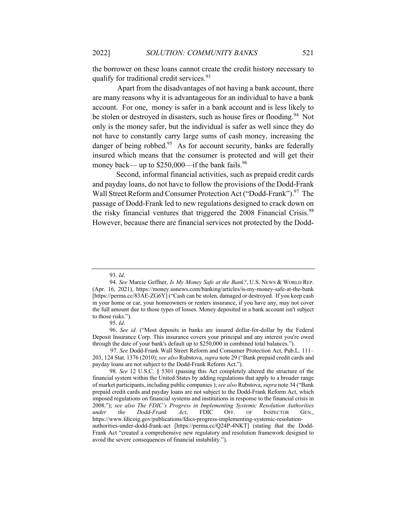the borrower on these loans cannot create the credit history necessary to qualify for traditional credit services.<sup>93</sup>

 Apart from the disadvantages of not having a bank account, there are many reasons why it is advantageous for an individual to have a bank account. For one, money is safer in a bank account and is less likely to be stolen or destroyed in disasters, such as house fires or flooding.<sup>94</sup> Not only is the money safer, but the individual is safer as well since they do not have to constantly carry large sums of cash money, increasing the danger of being robbed.<sup>95</sup> As for account security, banks are federally insured which means that the consumer is protected and will get their money back— up to  $$250,000$ —if the bank fails.<sup>96</sup>

Second, informal financial activities, such as prepaid credit cards and payday loans, do not have to follow the provisions of the Dodd-Frank Wall Street Reform and Consumer Protection Act ("Dodd-Frank").<sup>97</sup> The passage of Dodd-Frank led to new regulations designed to crack down on the risky financial ventures that triggered the 2008 Financial Crisis.<sup>98</sup> However, because there are financial services not protected by the Dodd-

<sup>93.</sup> *Id*.

<sup>94.</sup> *See* Marcie Geffner, *Is My Money Safe at the Bank?*, U.S. NEWS & WORLD REP. (Apr. 16, 2021), https://money.usnews.com/banking/articles/is-my-money-safe-at-the-bank [https://perma.cc/83AE-ZG6Y] ("Cash can be stolen, damaged or destroyed. If you keep cash in your home or car, your homeowners or renters insurance, if you have any, may not cover the full amount due to those types of losses. Money deposited in a bank account isn't subject to those risks.").

<sup>95.</sup> *Id*.

<sup>96.</sup> *See id*. ("Most deposits in banks are insured dollar-for-dollar by the Federal Deposit Insurance Corp. This insurance covers your principal and any interest you're owed through the date of your bank's default up to \$250,000 in combined total balances.").

 <sup>97.</sup> *See* Dodd-Frank Wall Street Reform and Consumer Protection Act, Pub.L. 111– 203, 124 Stat. 1376 (2010); *see also* Rubstova, *supra* note 29 ("Bank prepaid credit cards and payday loans are not subject to the Dodd-Frank Reform Act.").

<sup>98.</sup> *See* 12 U.S.C. § 5301 (passing this Act completely altered the structure of the financial system within the United States by adding regulations that apply to a broader range of market participants, including public companies ); *see also* Rubstova, *supra* note 34 ("Bank prepaid credit cards and payday loans are not subject to the Dodd-Frank Reform Act, which imposed regulations on financial systems and institutions in response to the financial crisis in 2008."); *see also The FDIC's Progress in Implementing Systemic Resolution Authorities under the Dodd-Frank Act*, FDIC OFF. OF INSPECTOR GEN., https://www.fdicoig.gov/publications/fdics-progress-implementing-systemic-resolutionauthorities-under-dodd-frank-act [https://perma.cc/Q24P-4NKT] (stating that the Dodd-Frank Act "created a comprehensive new regulatory and resolution framework designed to avoid the severe consequences of financial instability.").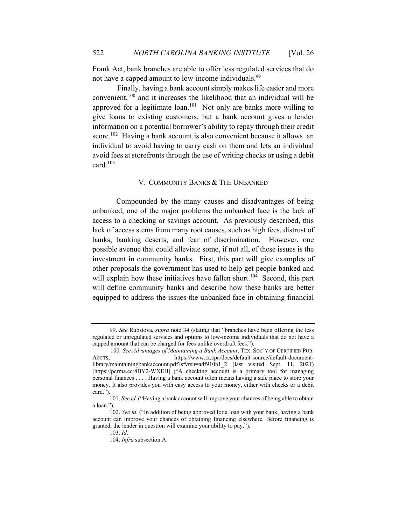Frank Act, bank branches are able to offer less regulated services that do not have a capped amount to low-income individuals.<sup>99</sup>

 Finally, having a bank account simply makes life easier and more convenient,100 and it increases the likelihood that an individual will be approved for a legitimate  $\alpha$ <sub>101</sub> Not only are banks more willing to give loans to existing customers, but a bank account gives a lender information on a potential borrower's ability to repay through their credit score.<sup>102</sup> Having a bank account is also convenient because it allows an individual to avoid having to carry cash on them and lets an individual avoid fees at storefronts through the use of writing checks or using a debit card. $103$ 

# V. COMMUNITY BANKS & THE UNBANKED

Compounded by the many causes and disadvantages of being unbanked, one of the major problems the unbanked face is the lack of access to a checking or savings account. As previously described, this lack of access stems from many root causes, such as high fees, distrust of banks, banking deserts, and fear of discrimination. However, one possible avenue that could alleviate some, if not all, of these issues is the investment in community banks. First, this part will give examples of other proposals the government has used to help get people banked and will explain how these initiatives have fallen short.<sup>104</sup> Second, this part will define community banks and describe how these banks are better equipped to address the issues the unbanked face in obtaining financial

<sup>99.</sup> *See* Rubstova, *supra* note 34 (stating that "branches have been offering the less regulated or unregulated services and options to low-income individuals that do not have a capped amount that can be charged for fees unlike overdraft fees.").

 <sup>100</sup>*. See Advantages of Maintaining a Bank Account*, TEX. SOC'Y OF CERTIFIED PUB. ACCTS, https://www.tx.cpa/docs/default-source/default-documentlibrary/maintainingbankaccount.pdf?sfvrsn=adf910b1\_2 (last visited Sept. 11, 2021) [https://perma.cc/8BY2-WXEH] ("A checking account is a primary tool for managing personal finances . . . . Having a bank account often means having a safe place to store your money. It also provides you with easy access to your money, either with checks or a debit card.").

<sup>101.</sup> *See id*. ("Having a bank account will improve your chances of being able to obtain a loan.").

<sup>102.</sup> *See id*. ("In addition of being approved for a loan with your bank, having a bank account can improve your chances of obtaining financing elsewhere. Before financing is granted, the lender in question will examine your ability to pay.").

<sup>103.</sup> *Id*.

<sup>104.</sup> *Infra* subsection A.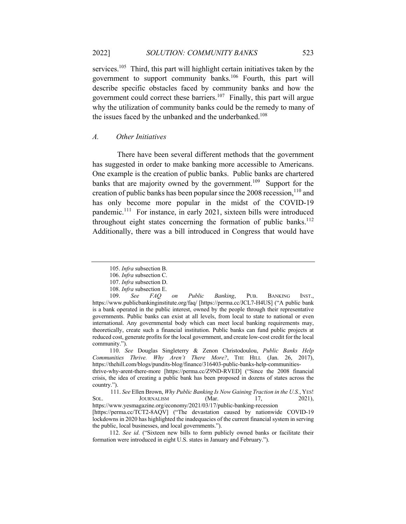services.<sup>105</sup> Third, this part will highlight certain initiatives taken by the government to support community banks.<sup>106</sup> Fourth, this part will describe specific obstacles faced by community banks and how the government could correct these barriers.<sup>107</sup> Finally, this part will argue why the utilization of community banks could be the remedy to many of the issues faced by the unbanked and the underbanked.<sup>108</sup>

#### *A. Other Initiatives*

 There have been several different methods that the government has suggested in order to make banking more accessible to Americans. One example is the creation of public banks. Public banks are chartered banks that are majority owned by the government.<sup>109</sup> Support for the creation of public banks has been popular since the  $2008$  recession,  $110$  and has only become more popular in the midst of the COVID-19 pandemic.111 For instance, in early 2021, sixteen bills were introduced throughout eight states concerning the formation of public banks.<sup>112</sup> Additionally, there was a bill introduced in Congress that would have

<sup>105.</sup> *Infra* subsection B.

<sup>106.</sup> *Infra* subsection C.

<sup>107.</sup> *Infra* subsection D.

<sup>108.</sup> *Infra* subsection E.

<sup>109.</sup> *See FAQ on Public Banking*, PUB. BANKING INST., https://www.publicbankinginstitute.org/faq/ [https://perma.cc/JCL7-H4US] ("A public bank is a bank operated in the public interest, owned by the people through their representative governments. Public banks can exist at all levels, from local to state to national or even international. Any governmental body which can meet local banking requirements may, theoretically, create such a financial institution. Public banks can fund public projects at reduced cost, generate profits for the local government, and create low-cost credit for the local community.").

<sup>110.</sup> *See* Douglas Singleterry & Zenon Christodoulou, *Public Banks Help Communities Thrive. Why Aren't There More?*, THE HILL (Jan. 26, 2017), https://thehill.com/blogs/pundits-blog/finance/316403-public-banks-help-communities-

thrive-why-arent-there-more [https://perma.cc/Z9ND-RVED] ("Since the 2008 financial crisis, the idea of creating a public bank has been proposed in dozens of states across the country.").

 <sup>111.</sup> *See* Ellen Brown, *Why Public Banking Is Now Gaining Traction in the U.S.*, YES! SOL. JOURNALISM (Mar. 17, 2021), https://www.yesmagazine.org/economy/2021/03/17/public-banking-recession [https://perma.cc/TCT2-8AQV] ("The devastation caused by nationwide COVID-19 lockdowns in 2020 has highlighted the inadequacies of the current financial system in serving the public, local businesses, and local governments.").

<sup>112.</sup> *See id*. ("Sixteen new bills to form publicly owned banks or facilitate their formation were introduced in eight U.S. states in January and February.").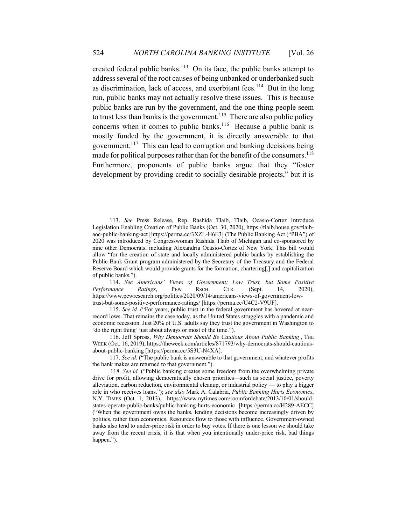created federal public banks.<sup>113</sup> On its face, the public banks attempt to address several of the root causes of being unbanked or underbanked such as discrimination, lack of access, and exorbitant fees.<sup>114</sup> But in the long run, public banks may not actually resolve these issues. This is because public banks are run by the government, and the one thing people seem to trust less than banks is the government.<sup>115</sup> There are also public policy concerns when it comes to public banks.<sup>116</sup> Because a public bank is mostly funded by the government, it is directly answerable to that government.<sup>117</sup> This can lead to corruption and banking decisions being made for political purposes rather than for the benefit of the consumers.<sup>118</sup> Furthermore, proponents of public banks argue that they "foster development by providing credit to socially desirable projects," but it is

114. *See Americans' Views of Government: Low Trust, but Some Positive Performance Ratings*, PEW RSCH. CTR. (Sept. 14, 2020), https://www.pewresearch.org/politics/2020/09/14/americans-views-of-government-lowtrust-but-some-positive-performance-ratings/ [https://perma.cc/U4C2-V9UF].

116. Jeff Spross, *Why Democrats Should Be Cautious About Public Banking* , THE WEEK (Oct. 16, 2019), https://theweek.com/articles/871793/why-democrats-should-cautiousabout-public-banking [https://perma.cc/5S3U-N4XA].

117. *See id*. ("The public bank is answerable to that government, and whatever profits the bank makes are returned to that government.").

<sup>113.</sup> *See* Press Release, Rep. Rashida Tlaib, Tlaib, Ocasio-Cortez Introduce Legislation Enabling Creation of Public Banks (Oct. 30, 2020), https://tlaib.house.gov/tlaibaoc-public-banking-act [https://perma.cc/3XZL-H6E3] (The Public Banking Act ("PBA") of 2020 was introduced by Congresswoman Rashida Tlaib of Michigan and co-sponsored by nine other Democrats, including Alexandria Ocasio-Cortez of New York. This bill would allow "for the creation of state and locally administered public banks by establishing the Public Bank Grant program administered by the Secretary of the Treasury and the Federal Reserve Board which would provide grants for the formation, chartering[,] and capitalization of public banks.").

<sup>115.</sup> *See id.* ("For years, public trust in the federal government has hovered at nearrecord lows. That remains the case today, as the United States struggles with a pandemic and economic recession. Just 20% of U.S. adults say they trust the government in Washington to 'do the right thing' just about always or most of the time.").

 <sup>118.</sup> *See id.* ("Public banking creates some freedom from the overwhelming private drive for profit, allowing democratically chosen priorities—such as social justice, poverty alleviation, carbon reduction, environmental cleanup, or industrial policy — to play a bigger role in who receives loans."); *see also* Mark A. Calabria, *Public Banking Hurts Economics*, N.Y. TIMES (Oct. 1, 2013), https://www.nytimes.com/roomfordebate/2013/10/01/shouldstates-operate-public-banks/public-banking-hurts-economic [https://perma.cc/H289-AECC] ("When the government owns the banks, lending decisions become increasingly driven by politics, rather than economics. Resources flow to those with influence. Government-owned banks also tend to under-price risk in order to buy votes. If there is one lesson we should take away from the recent crisis, it is that when you intentionally under-price risk, bad things happen.").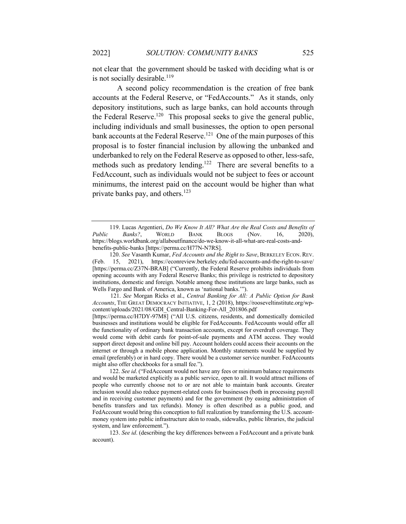not clear that the government should be tasked with deciding what is or is not socially desirable.<sup>119</sup>

 A second policy recommendation is the creation of free bank accounts at the Federal Reserve, or "FedAccounts." As it stands, only depository institutions, such as large banks, can hold accounts through the Federal Reserve.<sup>120</sup> This proposal seeks to give the general public, including individuals and small businesses, the option to open personal bank accounts at the Federal Reserve.<sup>121</sup> One of the main purposes of this proposal is to foster financial inclusion by allowing the unbanked and underbanked to rely on the Federal Reserve as opposed to other, less-safe, methods such as predatory lending.<sup>122</sup> There are several benefits to a FedAccount, such as individuals would not be subject to fees or account minimums, the interest paid on the account would be higher than what private banks pay, and others.<sup>123</sup>

120. *See* Vasanth Kumar, *Fed Accounts and the Right to Save*, BERKELEY ECON. REV. (Feb. 15, 2021), https://econreview.berkeley.edu/fed-accounts-and-the-right-to-save/ [https://perma.cc/Z37N-BRAB] ("Currently, the Federal Reserve prohibits individuals from opening accounts with any Federal Reserve Banks; this privilege is restricted to depository institutions, domestic and foreign. Notable among these institutions are large banks, such as Wells Fargo and Bank of America, known as 'national banks.'").

 121. *See* Morgan Ricks et al., *Central Banking for All: A Public Option for Bank Accounts*, THE GREAT DEMOCRACY INITIATIVE, 1, 2 (2018), https://rooseveltinstitute.org/wpcontent/uploads/2021/08/GDI\_Central-Banking-For-All\_201806.pdf

[https://perma.cc/H7DY-97M8] ("All U.S. citizens, residents, and domestically domiciled businesses and institutions would be eligible for FedAccounts. FedAccounts would offer all the functionality of ordinary bank transaction accounts, except for overdraft coverage. They would come with debit cards for point-of-sale payments and ATM access. They would support direct deposit and online bill pay. Account holders could access their accounts on the internet or through a mobile phone application. Monthly statements would be supplied by email (preferably) or in hard copy. There would be a customer service number. FedAccounts might also offer checkbooks for a small fee.").

122. *See id*. ("FedAccount would not have any fees or minimum balance requirements and would be marketed explicitly as a public service, open to all. It would attract millions of people who currently choose not to or are not able to maintain bank accounts. Greater inclusion would also reduce payment-related costs for businesses (both in processing payroll and in receiving customer payments) and for the government (by easing administration of benefits transfers and tax refunds). Money is often described as a public good, and FedAccount would bring this conception to full realization by transforming the U.S. accountmoney system into public infrastructure akin to roads, sidewalks, public libraries, the judicial system, and law enforcement.").

123. *See id*. (describing the key differences between a FedAccount and a private bank account).

<sup>119.</sup> Lucas Argentieri, *Do We Know It All? What Are the Real Costs and Benefits of Public Banks?*, WORLD BANK BLOGS (Nov. 16, 2020), https://blogs.worldbank.org/allaboutfinance/do-we-know-it-all-what-are-real-costs-andbenefits-public-banks [https://perma.cc/H77N-N7RS].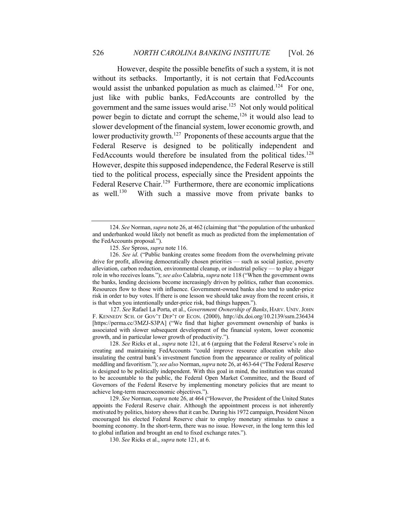However, despite the possible benefits of such a system, it is not without its setbacks. Importantly, it is not certain that FedAccounts would assist the unbanked population as much as claimed.<sup>124</sup> For one, just like with public banks, FedAccounts are controlled by the government and the same issues would arise.125 Not only would political power begin to dictate and corrupt the scheme,  $126$  it would also lead to slower development of the financial system, lower economic growth, and lower productivity growth.<sup>127</sup> Proponents of these accounts argue that the Federal Reserve is designed to be politically independent and FedAccounts would therefore be insulated from the political tides.<sup>128</sup> However, despite this supposed independence, the Federal Reserve is still tied to the political process, especially since the President appoints the Federal Reserve Chair.<sup>129</sup> Furthermore, there are economic implications as well.<sup>130</sup> With such a massive move from private banks to

 127. *See* Rafael La Porta, et al., *Government Ownership of Banks*, HARV. UNIV.JOHN F. KENNEDY SCH. OF GOV'T DEP'T OF ECON. (2000), http://dx.doi.org/10.2139/ssrn.236434 [https://perma.cc/3MZJ-S3PA] ("We find that higher government ownership of banks is associated with slower subsequent development of the financial system, lower economic growth, and in particular lower growth of productivity.").

<sup>124.</sup> *See* Norman, *supra* note 26, at 462 (claiming that "the population of the unbanked and underbanked would likely not benefit as much as predicted from the implementation of the FedAccounts proposal.").

<sup>125.</sup> *See* Spross, *supra* note 116.

<sup>126.</sup> *See id*. ("Public banking creates some freedom from the overwhelming private drive for profit, allowing democratically chosen priorities — such as social justice, poverty alleviation, carbon reduction, environmental cleanup, or industrial policy — to play a bigger role in who receives loans."); *see also* Calabria, *supra* note 118 ("When the government owns the banks, lending decisions become increasingly driven by politics, rather than economics. Resources flow to those with influence. Government-owned banks also tend to under-price risk in order to buy votes. If there is one lesson we should take away from the recent crisis, it is that when you intentionally under-price risk, bad things happen.").

<sup>128.</sup> *See* Ricks et al., *supra* note 121, at 6 (arguing that the Federal Reserve's role in creating and maintaining FedAccounts "could improve resource allocation while also insulating the central bank's investment function from the appearance or reality of political meddling and favoritism."); *see also* Norman, *supra* note 26, at 463-64 ("The Federal Reserve is designed to be politically independent. With this goal in mind, the institution was created to be accountable to the public, the Federal Open Market Committee, and the Board of Governors of the Federal Reserve by implementing monetary policies that are meant to achieve long-term macroeconomic objectives.").

<sup>129.</sup> *See* Norman, *supra* note 26, at 464 ("However, the President of the United States appoints the Federal Reserve chair. Although the appointment process is not inherently motivated by politics, history shows that it can be. During his 1972 campaign, President Nixon encouraged his elected Federal Reserve chair to employ monetary stimulus to cause a booming economy. In the short-term, there was no issue. However, in the long term this led to global inflation and brought an end to fixed exchange rates.").

<sup>130.</sup> *See* Ricks et al., *supra* note 121, at 6.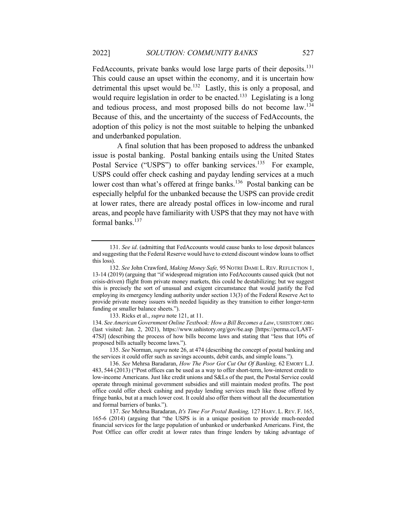FedAccounts, private banks would lose large parts of their deposits.<sup>131</sup> This could cause an upset within the economy, and it is uncertain how detrimental this upset would be.<sup>132</sup> Lastly, this is only a proposal, and would require legislation in order to be enacted.<sup>133</sup> Legislating is a long and tedious process, and most proposed bills do not become law.<sup>134</sup> Because of this, and the uncertainty of the success of FedAccounts, the adoption of this policy is not the most suitable to helping the unbanked and underbanked population.

 A final solution that has been proposed to address the unbanked issue is postal banking. Postal banking entails using the United States Postal Service ("USPS") to offer banking services.<sup>135</sup> For example, USPS could offer check cashing and payday lending services at a much lower cost than what's offered at fringe banks.<sup>136</sup> Postal banking can be especially helpful for the unbanked because the USPS can provide credit at lower rates, there are already postal offices in low-income and rural areas, and people have familiarity with USPS that they may not have with formal banks.<sup>137</sup>

133. Ricks et al., *supra* note 121, at 11.

134. *See American Government Online Textbook: How a Bill Becomes a Law*, USHISTORY.ORG (last visited: Jan. 2, 2021), https://www.ushistory.org/gov/6e.asp [https://perma.cc/LA8T-47SJ] (describing the process of how bills become laws and stating that "less that 10% of proposed bills actually become laws.").

135. *See* Norman, *supra* note 26, at 474 (describing the concept of postal banking and the services it could offer such as savings accounts, debit cards, and simple loans.").

137. *See* Mehrsa Baradaran, *It's Time For Postal Banking,* 127 HARV. L. REV. F. 165, 165-6 (2014) (arguing that "the USPS is in a unique position to provide much-needed financial services for the large population of unbanked or underbanked Americans. First, the Post Office can offer credit at lower rates than fringe lenders by taking advantage of

<sup>131.</sup> *See id*. (admitting that FedAccounts would cause banks to lose deposit balances and suggesting that the Federal Reserve would have to extend discount window loans to offset this loss).

<sup>132.</sup> *See* John Crawford, *Making Money Safe,* 95 NOTRE DAME L. REV. REFLECTION 1, 13-14 (2019) (arguing that "if widespread migration into FedAccounts caused quick (but not crisis-driven) flight from private money markets, this could be destabilizing; but we suggest this is precisely the sort of unusual and exigent circumstance that would justify the Fed employing its emergency lending authority under section 13(3) of the Federal Reserve Act to provide private money issuers with needed liquidity as they transition to either longer-term funding or smaller balance sheets.").

<sup>136.</sup> *See* Mehrsa Baradaran, *How The Poor Got Cut Out Of Banking,* 62 EMORY L.J. 483, 544 (2013) ("Post offices can be used as a way to offer short-term, low-interest credit to low-income Americans. Just like credit unions and S&Ls of the past, the Postal Service could operate through minimal government subsidies and still maintain modest profits. The post office could offer check cashing and payday lending services much like those offered by fringe banks, but at a much lower cost. It could also offer them without all the documentation and formal barriers of banks.").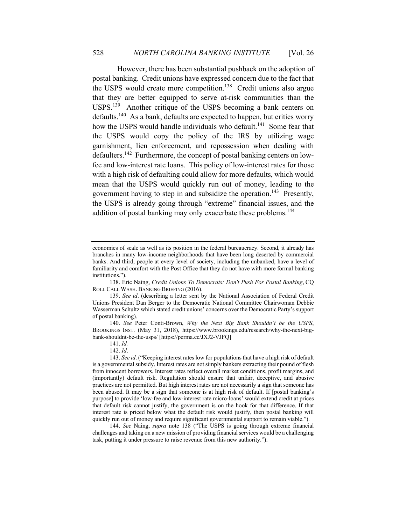However, there has been substantial pushback on the adoption of postal banking. Credit unions have expressed concern due to the fact that the USPS would create more competition.<sup>138</sup> Credit unions also argue that they are better equipped to serve at-risk communities than the USPS.139 Another critique of the USPS becoming a bank centers on defaults.140 As a bank, defaults are expected to happen, but critics worry how the USPS would handle individuals who default.<sup>141</sup> Some fear that the USPS would copy the policy of the IRS by utilizing wage garnishment, lien enforcement, and repossession when dealing with defaulters.142 Furthermore, the concept of postal banking centers on lowfee and low-interest rate loans. This policy of low-interest rates for those with a high risk of defaulting could allow for more defaults, which would mean that the USPS would quickly run out of money, leading to the government having to step in and subsidize the operation.<sup>143</sup> Presently, the USPS is already going through "extreme" financial issues, and the addition of postal banking may only exacerbate these problems.<sup>144</sup>

140. *See* Peter Conti-Brown, *Why the Next Big Bank Shouldn't be the USPS*, BROOKINGS INST. (May 31, 2018), https://www.brookings.edu/research/why-the-next-bigbank-shouldnt-be-the-usps/ [https://perma.cc/JXJ2-VJFQ]

141. *Id.*

142. *Id*.

economies of scale as well as its position in the federal bureaucracy. Second, it already has branches in many low-income neighborhoods that have been long deserted by commercial banks. And third, people at every level of society, including the unbanked, have a level of familiarity and comfort with the Post Office that they do not have with more formal banking institutions.").

<sup>138.</sup> Eric Naing, *Credit Unions To Democrats: Don't Push For Postal Banking*, CQ ROLL CALL WASH. BANKING BRIEFING (2016).

<sup>139.</sup> *See id*. (describing a letter sent by the National Association of Federal Credit Unions President Dan Berger to the Democratic National Committee Chairwoman Debbie Wasserman Schultz which stated credit unions' concerns over the Democratic Party's support of postal banking).

<sup>143.</sup> *See id*. ("Keeping interest rates low for populations that have a high risk of default is a governmental subsidy. Interest rates are not simply bankers extracting their pound of flesh from innocent borrowers. Interest rates reflect overall market conditions, profit margins, and (importantly) default risk. Regulation should ensure that unfair, deceptive, and abusive practices are not permitted. But high interest rates are not necessarily a sign that someone has been abused. It may be a sign that someone is at high risk of default. If [postal banking's purpose] to provide 'low-fee and low-interest rate micro-loans' would extend credit at prices that default risk cannot justify, the government is on the hook for that difference. If that interest rate is priced below what the default risk would justify, then postal banking will quickly run out of money and require significant governmental support to remain viable.").

<sup>144.</sup> *See* Naing, *supra* note 138 ("The USPS is going through extreme financial challenges and taking on a new mission of providing financial services would be a challenging task, putting it under pressure to raise revenue from this new authority.").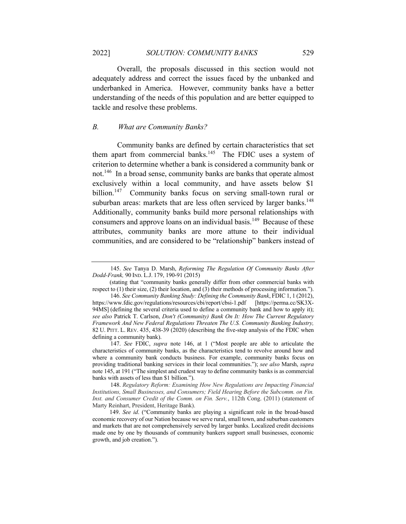Overall, the proposals discussed in this section would not adequately address and correct the issues faced by the unbanked and underbanked in America. However, community banks have a better understanding of the needs of this population and are better equipped to tackle and resolve these problems.

# *B. What are Community Banks?*

 Community banks are defined by certain characteristics that set them apart from commercial banks. $145$  The FDIC uses a system of criterion to determine whether a bank is considered a community bank or not.146 In a broad sense, community banks are banks that operate almost exclusively within a local community, and have assets below \$1 billion.<sup>147</sup> Community banks focus on serving small-town rural or suburban areas: markets that are less often serviced by larger banks.<sup>148</sup> Additionally, community banks build more personal relationships with consumers and approve loans on an individual basis.<sup>149</sup> Because of these attributes, community banks are more attune to their individual communities, and are considered to be "relationship" bankers instead of

 <sup>145.</sup> *See* Tanya D. Marsh, *Reforming The Regulation Of Community Banks After Dodd-Frank,* 90 IND. L.J. 179, 190-91 (2015)

<sup>(</sup>stating that "community banks generally differ from other commercial banks with respect to (1) their size, (2) their location, and (3) their methods of processing information.").

 <sup>146.</sup> *See Community Banking Study: Defining the Community Bank*, FDIC 1, 1 (2012), https://www.fdic.gov/regulations/resources/cbi/report/cbsi-1.pdf [https://perma.cc/SK3X-94MS] (defining the several criteria used to define a community bank and how to apply it); *see also* Patrick T. Carlson, *Don't (Community) Bank On It: How The Current Regulatory Framework And New Federal Regulations Threaten The U.S. Community Banking Industry,*  82 U. PITT. L. REV. 435, 438-39 (2020) (describing the five-step analysis of the FDIC when defining a community bank).

 <sup>147.</sup> *See* FDIC, *supra* note 146, at 1 ("Most people are able to articulate the characteristics of community banks, as the characteristics tend to revolve around how and where a community bank conducts business. For example, community banks focus on providing traditional banking services in their local communities."); *see also* Marsh, *supra* note 145, at 191 ("The simplest and crudest way to define community banks is as commercial banks with assets of less than \$1 billion.").

 <sup>148.</sup> *Regulatory Reform: Examining How New Regulations are Impacting Financial Institutions, Small Businesses, and Consumers; Field Hearing Before the Subcomm. on Fin. Inst. and Consumer Credit of the Comm. on Fin. Serv.*, 112th Cong. (2011) (statement of Marty Reinhart, President, Heritage Bank).

<sup>149.</sup> *See id*. ("Community banks are playing a significant role in the broad-based economic recovery of our Nation because we serve rural, small town, and suburban customers and markets that are not comprehensively served by larger banks. Localized credit decisions made one by one by thousands of community bankers support small businesses, economic growth, and job creation.").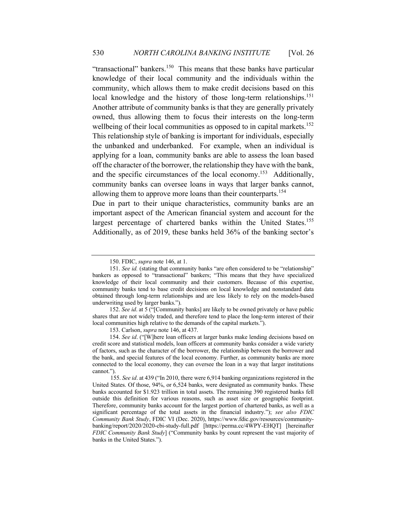"transactional" bankers.<sup>150</sup> This means that these banks have particular knowledge of their local community and the individuals within the community, which allows them to make credit decisions based on this local knowledge and the history of those long-term relationships.<sup>151</sup> Another attribute of community banks is that they are generally privately owned, thus allowing them to focus their interests on the long-term wellbeing of their local communities as opposed to in capital markets.<sup>152</sup> This relationship style of banking is important for individuals, especially the unbanked and underbanked. For example, when an individual is applying for a loan, community banks are able to assess the loan based off the character of the borrower, the relationship they have with the bank, and the specific circumstances of the local economy.<sup>153</sup> Additionally, community banks can oversee loans in ways that larger banks cannot, allowing them to approve more loans than their counterparts.<sup>154</sup>

Due in part to their unique characteristics, community banks are an important aspect of the American financial system and account for the largest percentage of chartered banks within the United States.<sup>155</sup> Additionally, as of 2019, these banks held 36% of the banking sector's

<sup>150.</sup> FDIC, *supra* note 146, at 1.

<sup>151.</sup> *See id.* (stating that community banks "are often considered to be "relationship" bankers as opposed to "transactional" bankers; "This means that they have specialized knowledge of their local community and their customers. Because of this expertise, community banks tend to base credit decisions on local knowledge and nonstandard data obtained through long-term relationships and are less likely to rely on the models-based underwriting used by larger banks.").

<sup>152.</sup> *See id*. at 5 ("[Community banks] are likely to be owned privately or have public shares that are not widely traded, and therefore tend to place the long-term interest of their local communities high relative to the demands of the capital markets.").

<sup>153.</sup> Carlson, *supra* note 146, at 437.

<sup>154.</sup> *See id*. ("[W]here loan officers at larger banks make lending decisions based on credit score and statistical models, loan officers at community banks consider a wide variety of factors, such as the character of the borrower, the relationship between the borrower and the bank, and special features of the local economy. Further, as community banks are more connected to the local economy, they can oversee the loan in a way that larger institutions cannot.").

 <sup>155.</sup> *See id*. at 439 ("In 2010, there were 6,914 banking organizations registered in the United States. Of those, 94%, or 6,524 banks, were designated as community banks. These banks accounted for \$1.923 trillion in total assets. The remaining 390 registered banks fell outside this definition for various reasons, such as asset size or geographic footprint. Therefore, community banks account for the largest portion of chartered banks, as well as a significant percentage of the total assets in the financial industry."); *see also FDIC Community Bank Study*, FDIC VI (Dec. 2020), https://www.fdic.gov/resources/communitybanking/report/2020/2020-cbi-study-full.pdf [https://perma.cc/4WPY-EHQT] [hereinafter *FDIC Community Bank Study*] ("Community banks by count represent the vast majority of banks in the United States.").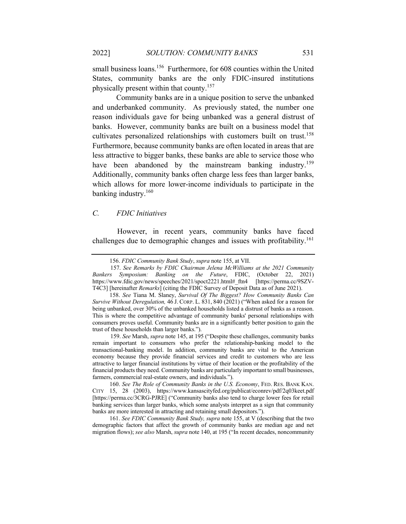small business loans.<sup>156</sup> Furthermore, for 608 counties within the United States, community banks are the only FDIC-insured institutions physically present within that county.157

Community banks are in a unique position to serve the unbanked and underbanked community. As previously stated, the number one reason individuals gave for being unbanked was a general distrust of banks. However, community banks are built on a business model that cultivates personalized relationships with customers built on trust.<sup>158</sup> Furthermore, because community banks are often located in areas that are less attractive to bigger banks, these banks are able to service those who have been abandoned by the mainstream banking industry.<sup>159</sup> Additionally, community banks often charge less fees than larger banks, which allows for more lower-income individuals to participate in the banking industry.<sup>160</sup>

# *C. FDIC Initiatives*

 However, in recent years, community banks have faced challenges due to demographic changes and issues with profitability.<sup>161</sup>

161. *See FDIC Community Bank Study, supra* note 155, at V (describing that the two demographic factors that affect the growth of community banks are median age and net migration flows); *see also* Marsh, *supra* note 140, at 195 ("In recent decades, noncommunity

<sup>156.</sup> *FDIC Community Bank Study*, *supra* note 155, at VII.

 <sup>157.</sup> *See Remarks by FDIC Chairman Jelena McWilliams at the 2021 Community Bankers Symposium: Banking on the Future*, FDIC, (October 22, 2021) https://www.fdic.gov/news/speeches/2021/spoct2221.html#\_ftn4 [https://perma.cc/9SZV-T4C3] [hereinafter *Remarks*] (citing the FDIC Survey of Deposit Data as of June 2021).

<sup>158.</sup> *See* Tiana M. Slaney, *Survival Of The Biggest? How Community Banks Can Survive Without Deregulation,* 46 J. CORP. L. 831, 840 (2021) ("When asked for a reason for being unbanked, over 30% of the unbanked households listed a distrust of banks as a reason. This is where the competitive advantage of community banks' personal relationships with consumers proves useful. Community banks are in a significantly better position to gain the trust of these households than larger banks.").

 <sup>159.</sup> *See* Marsh, *supra* note 145, at 195 ("Despite these challenges, community banks remain important to consumers who prefer the relationship-banking model to the transactional-banking model. In addition, community banks are vital to the American economy because they provide financial services and credit to customers who are less attractive to larger financial institutions by virtue of their location or the profitability of the financial products they need. Community banks are particularly important to small businesses, farmers, commercial real-estate owners, and individuals.").

<sup>160.</sup> *See The Role of Community Banks in the U.S. Economy*, FED. RES. BANK KAN. CITY 15, 28 (2003), https://www.kansascityfed.org/publicat/econrev/pdf/2q03keet.pdf [https://perma.cc/3CRG-PJRE] ("Community banks also tend to charge lower fees for retail banking services than larger banks, which some analysts interpret as a sign that community banks are more interested in attracting and retaining small depositors.").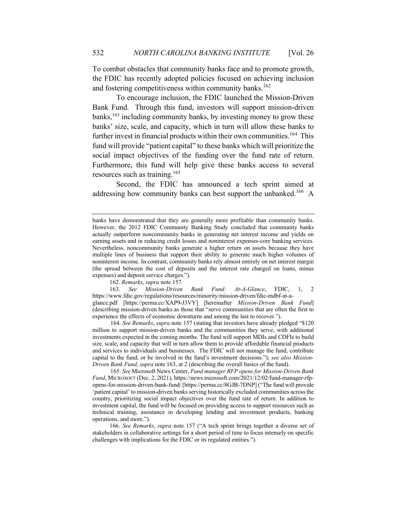To combat obstacles that community banks face and to promote growth, the FDIC has recently adopted policies focused on achieving inclusion and fostering competitiveness within community banks.<sup>162</sup>

To encourage inclusion, the FDIC launched the Mission-Driven Bank Fund. Through this fund, investors will support mission-driven banks,  $163$  including community banks, by investing money to grow these banks' size, scale, and capacity, which in turn will allow these banks to further invest in financial products within their own communities.<sup>164</sup> This fund will provide "patient capital" to these banks which will prioritize the social impact objectives of the funding over the fund rate of return. Furthermore, this fund will help give these banks access to several resources such as training.<sup>165</sup>

Second, the FDIC has announced a tech sprint aimed at addressing how community banks can best support the unbanked.<sup>166</sup> A

162. *Remarks*, *supra* note 157.

163. *See Mission-Driven Bank Fund: At-A-Glance*, FDIC, 1, 2 https://www.fdic.gov/regulations/resources/minority/mission-driven/fdic-mdbf-at-aglance.pdf [https://perma.cc/XAP9-J3VY] [hereinafter *Mission-Driven Bank Fund*]

(describing mission-driven banks as those that "serve communities that are often the first to experience the effects of economic downturns and among the last to recover.").

 164. *See Remarks*, *supra* note 157 (stating that investors have already pledged "\$120 million to support mission-driven banks and the communities they serve, with additional investments expected in the coming months. The fund will support MDIs and CDFIs to build size, scale, and capacity that will in turn allow them to provide affordable financial products and services to individuals and businesses. The FDIC will not manage the fund, contribute capital to the fund, or be involved in the fund's investment decisions."); *see also Mission-Driven Bank Fund*, *supra* note 163, at 2 (describing the overall basics of the fund).

 165. *See* Microsoft News Center, *Fund manager RFP opens for Mission-Driven Bank Fund*, MICROSOFT (Dec. 2, 2021), https://news.microsoft.com/2021/12/02/fund-manager-rfpopens-for-mission-driven-bank-fund/ [https://perma.cc/8GJB-7DNP] ("The fund will provide 'patient capital' to mission-driven banks serving historically excluded communities across the country, prioritizing social impact objectives over the fund rate of return. In addition to investment capital, the fund will be focused on providing access to support resources such as technical training, assistance in developing lending and investment products, banking operations, and more.").

166. *See Remarks*, *supra* note 157 ("A tech sprint brings together a diverse set of stakeholders in collaborative settings for a short period of time to focus intensely on specific challenges with implications for the FDIC or its regulated entities.").

banks have demonstrated that they are generally more profitable than community banks. However, the 2012 FDIC Community Banking Study concluded that community banks actually outperform noncommunity banks in generating net interest income and yields on earning assets and in reducing credit losses and noninterest expenses-core banking services. Nevertheless, noncommunity banks generate a higher return on assets because they have multiple lines of business that support their ability to generate much higher volumes of noninterest income. In contrast, community banks rely almost entirely on net interest margin (the spread between the cost of deposits and the interest rate charged on loans, minus expenses) and deposit service charges.").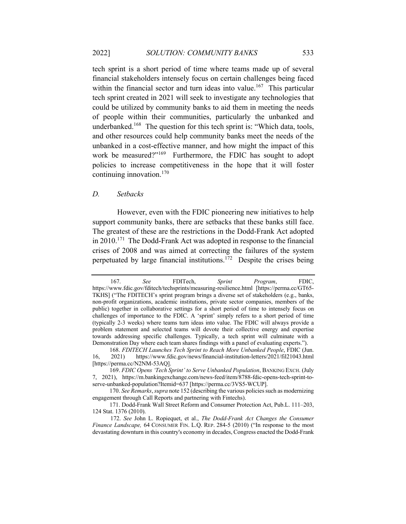tech sprint is a short period of time where teams made up of several financial stakeholders intensely focus on certain challenges being faced within the financial sector and turn ideas into value.<sup>167</sup> This particular tech sprint created in 2021 will seek to investigate any technologies that could be utilized by community banks to aid them in meeting the needs of people within their communities, particularly the unbanked and underbanked.<sup>168</sup> The question for this tech sprint is: "Which data, tools, and other resources could help community banks meet the needs of the unbanked in a cost-effective manner, and how might the impact of this work be measured?"<sup>169</sup> Furthermore, the FDIC has sought to adopt policies to increase competitiveness in the hope that it will foster continuing innovation. $170$ 

#### *D. Setbacks*

 However, even with the FDIC pioneering new initiatives to help support community banks, there are setbacks that these banks still face. The greatest of these are the restrictions in the Dodd-Frank Act adopted in 2010.171 The Dodd-Frank Act was adopted in response to the financial crises of 2008 and was aimed at correcting the failures of the system perpetuated by large financial institutions.172 Despite the crises being

 <sup>167.</sup> *See* FDITech, *Sprint Program*, FDIC, https://www.fdic.gov/fditech/techsprints/measuring-resilience.html [https://perma.cc/GT65- TKHS] ("The FDITECH's sprint program brings a diverse set of stakeholders (e.g., banks, non-profit organizations, academic institutions, private sector companies, members of the public) together in collaborative settings for a short period of time to intensely focus on challenges of importance to the FDIC. A 'sprint' simply refers to a short period of time (typically 2-3 weeks) where teams turn ideas into value. The FDIC will always provide a problem statement and selected teams will devote their collective energy and expertise towards addressing specific challenges. Typically, a tech sprint will culminate with a Demonstration Day where each team shares findings with a panel of evaluating experts.").

<sup>168.</sup> *FDITECH Launches Tech Sprint to Reach More Unbanked People*, FDIC (Jun. 16, 2021) https://www.fdic.gov/news/financial-institution-letters/2021/fil21043.html [https://perma.cc/N2NM-53AQ].

<sup>169.</sup> *FDIC Opens 'Tech Sprint' to Serve Unbanked Population*, BANKING EXCH. (July 7, 2021), https://m.bankingexchange.com/news-feed/item/8788-fdic-opens-tech-sprint-toserve-unbanked-population?Itemid=637 [https://perma.cc/3VS5-WCUP].

<sup>170.</sup> *See Remarks*, *supra* note 152 (describing the various policies such as modernizing engagement through Call Reports and partnering with Fintechs).

<sup>171.</sup> Dodd-Frank Wall Street Reform and Consumer Protection Act, Pub.L. 111–203, 124 Stat. 1376 (2010).

 <sup>172.</sup> *See* John L. Ropiequet, et al., *The Dodd-Frank Act Changes the Consumer Finance Landscape,* 64 CONSUMER FIN. L.Q. REP. 284-5 (2010) ("In response to the most devastating downturn in this country's economy in decades, Congress enacted the Dodd-Frank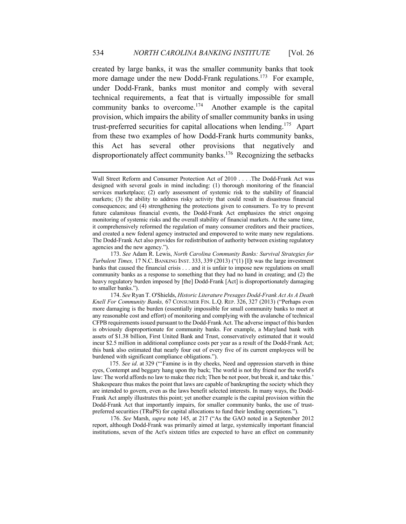created by large banks, it was the smaller community banks that took more damage under the new Dodd-Frank regulations.<sup>173</sup> For example, under Dodd-Frank, banks must monitor and comply with several technical requirements, a feat that is virtually impossible for small community banks to overcome.<sup>174</sup> Another example is the capital provision, which impairs the ability of smaller community banks in using trust-preferred securities for capital allocations when lending.<sup>175</sup> Apart from these two examples of how Dodd-Frank hurts community banks, this Act has several other provisions that negatively and disproportionately affect community banks.<sup>176</sup> Recognizing the setbacks

 176. *See* Marsh, *supra* note 145, at 217 ("As the GAO noted in a September 2012 report, although Dodd-Frank was primarily aimed at large, systemically important financial institutions, seven of the Act's sixteen titles are expected to have an effect on community

Wall Street Reform and Consumer Protection Act of 2010 . . . .The Dodd-Frank Act was designed with several goals in mind including: (1) thorough monitoring of the financial services marketplace; (2) early assessment of systemic risk to the stability of financial markets; (3) the ability to address risky activity that could result in disastrous financial consequences; and (4) strengthening the protections given to consumers. To try to prevent future calamitous financial events, the Dodd-Frank Act emphasizes the strict ongoing monitoring of systemic risks and the overall stability of financial markets. At the same time, it comprehensively reformed the regulation of many consumer creditors and their practices, and created a new federal agency instructed and empowered to write many new regulations. The Dodd-Frank Act also provides for redistribution of authority between existing regulatory agencies and the new agency.").

 <sup>173.</sup> *See* Adam R. Lewis, *North Carolina Community Banks: Survival Strategies for Turbulent Times,* 17 N.C. BANKING INST. 333, 339 (2013) ("(1) [I]t was the large investment banks that caused the financial crisis . . . and it is unfair to impose new regulations on small community banks as a response to something that they had no hand in creating; and (2) the heavy regulatory burden imposed by [the] Dodd-Frank [Act] is disproportionately damaging to smaller banks.").

 <sup>174.</sup> *See* Ryan T. O'Shields, *Historic Literature Presages Dodd-Frank Act As A Death Knell For Community Banks,* 67 CONSUMER FIN. L.Q. REP. 326, 327 (2013) ("Perhaps even more damaging is the burden (essentially impossible for small community banks to meet at any reasonable cost and effort) of monitoring and complying with the avalanche of technical CFPB requirements issued pursuant to the Dodd-Frank Act. The adverse impact of this burden is obviously disproportionate for community banks. For example, a Maryland bank with assets of \$1.38 billion, First United Bank and Trust, conservatively estimated that it would incur \$2.5 million in additional compliance costs per year as a result of the Dodd-Frank Act; this bank also estimated that nearly four out of every five of its current employees will be burdened with significant compliance obligations.").

<sup>175.</sup> *See id*. at 329 ("'Famine is in thy cheeks, Need and oppression starveth in thine eyes, Contempt and beggary hang upon thy back; The world is not thy friend nor the world's law: The world affords no law to make thee rich; Then be not poor, but break it, and take this.' Shakespeare thus makes the point that laws are capable of bankrupting the society which they are intended to govern, even as the laws benefit selected interests. In many ways, the Dodd-Frank Act amply illustrates this point; yet another example is the capital provision within the Dodd-Frank Act that importantly impairs, for smaller community banks, the use of trustpreferred securities (TRuPS) for capital allocations to fund their lending operations.").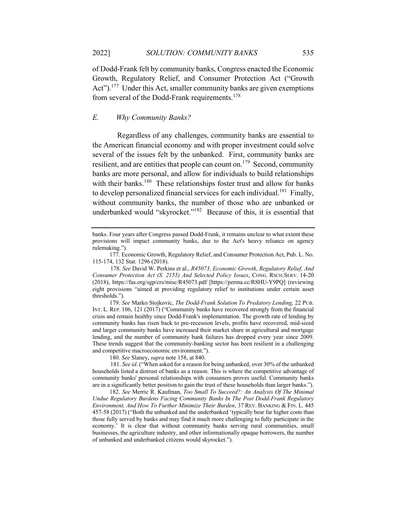of Dodd-Frank felt by community banks, Congress enacted the Economic Growth, Regulatory Relief, and Consumer Protection Act ("Growth Act").<sup>177</sup> Under this Act, smaller community banks are given exemptions from several of the Dodd-Frank requirements.<sup>178</sup>

# *E. Why Community Banks?*

 Regardless of any challenges, community banks are essential to the American financial economy and with proper investment could solve several of the issues felt by the unbanked. First, community banks are resilient, and are entities that people can count on.<sup>179</sup> Second, community banks are more personal, and allow for individuals to build relationships with their banks.<sup>180</sup> These relationships foster trust and allow for banks to develop personalized financial services for each individual.<sup>181</sup> Finally, without community banks, the number of those who are unbanked or underbanked would "skyrocket."<sup>182</sup> Because of this, it is essential that

179. *See* Marko Stojkovic, *The Dodd-Frank Solution To Predatory Lending,* 22 PUB. INT. L. REP. 106, 121 (2017) ("Community banks have recovered strongly from the financial crisis and remain healthy since Dodd-Frank's implementation. The growth rate of lending by community banks has risen back to pre-recession levels, profits have recovered, mid-sized and larger community banks have increased their market share in agricultural and mortgage lending, and the number of community bank failures has dropped every year since 2009. These trends suggest that the community-banking sector has been resilient in a challenging and competitive macroeconomic environment.").

180. *See* Slaney, *supra* note 158, at 840.

 181. *See id*. ("When asked for a reason for being unbanked, over 30% of the unbanked households listed a distrust of banks as a reason. This is where the competitive advantage of community banks' personal relationships with consumers proves useful. Community banks are in a significantly better position to gain the trust of these households than larger banks.").

182. *See* Merric R. Kaufman, *Too Small To Succeed?: An Analysis Of The Minimal Undue Regulatory Burdens Facing Community Banks In The Post Dodd-Frank Regulatory Environment, And How To Further Minimize Their Burden*, 37 REV. BANKING & FIN. L. 445 457-58 (2017) ("Both the unbanked and the underbanked 'typically bear far higher costs than those fully served by banks and may find it much more challenging to fully participate in the economy.' It is clear that without community banks serving rural communities, small businesses, the agriculture industry, and other informationally opaque borrowers, the number of unbanked and underbanked citizens would skyrocket.").

banks. Four years after Congress passed Dodd-Frank, it remains unclear to what extent these provisions will impact community banks, due to the Act's heavy reliance on agency rulemaking.").

<sup>177.</sup> Economic Growth, Regulatory Relief, and Consumer Protection Act, Pub. L. No. 115-174, 132 Stat. 1296 (2018).

 <sup>178.</sup> *See* David W. Perkins et al., *R45073, Economic Growth, Regulatory Relief, And Consumer Protection Act (S. 2155) And Selected Policy Issues*, CONG. RSCH.SERV. 14-20 (2018), https://fas.org/sgp/crs/misc/R45073.pdf [https://perma.cc/R8HU-Y9PQ] (reviewing eight provisions "aimed at providing regulatory relief to institutions under certain asset thresholds.").